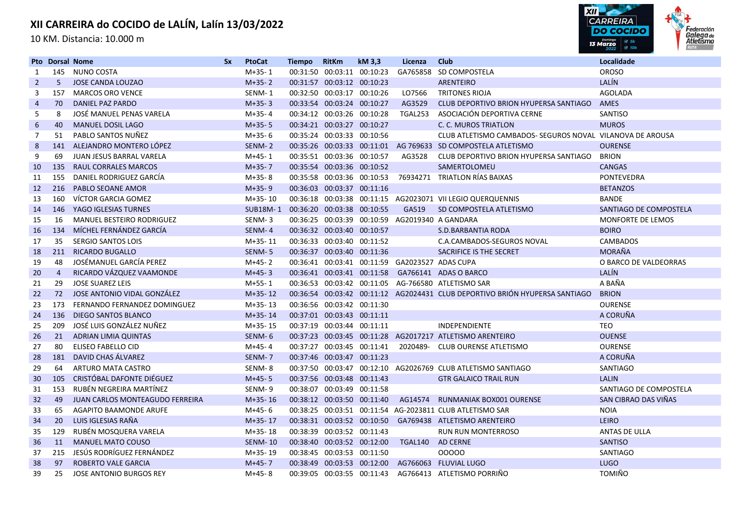10 KM. Distancia: 10.000 m



|                | <b>Pto Dorsal Nome</b> |                                 | <b>Sx</b> | <b>PtoCat</b>   | <b>Tiempo</b> | <b>RitKm</b>               | kM 3,3                     | Licenza                                        | <b>Club</b>                                                                 | Localidade             |
|----------------|------------------------|---------------------------------|-----------|-----------------|---------------|----------------------------|----------------------------|------------------------------------------------|-----------------------------------------------------------------------------|------------------------|
| 1              | 145                    | NUNO COSTA                      |           | $M+35-1$        |               | 00:31:50 00:03:11 00:10:23 |                            |                                                | GA765858 SD COMPOSTELA                                                      | <b>OROSO</b>           |
| $\overline{2}$ | 5 <sup>5</sup>         | <b>JOSE CANDA LOUZAO</b>        |           | $M+35-2$        |               | 00:31:57 00:03:12 00:10:23 |                            |                                                | <b>ARENTEIRO</b>                                                            | LALÍN                  |
| 3              | 157                    | <b>MARCOS ORO VENCE</b>         |           | SENM-1          |               | 00:32:50 00:03:17 00:10:26 |                            | LO7566                                         | <b>TRITONES RIOJA</b>                                                       | <b>AGOLADA</b>         |
| $\overline{4}$ | 70                     | DANIEL PAZ PARDO                |           | $M+35-3$        |               | 00:33:54 00:03:24 00:10:27 |                            | AG3529                                         | CLUB DEPORTIVO BRION HYUPERSA SANTIAGO                                      | <b>AMES</b>            |
| 5              | 8                      | JOSÉ MANUEL PENAS VARELA        |           | M+35-4          |               | 00:34:12 00:03:26 00:10:28 |                            | TGAL253                                        | ASOCIACIÓN DEPORTIVA CERNE                                                  | SANTISO                |
| 6              | 40                     | <b>MANUEL DOSIL LAGO</b>        |           | $M+35-5$        |               | 00:34:21 00:03:27 00:10:27 |                            |                                                | C. C. MUROS TRIATLON                                                        | <b>MUROS</b>           |
| 7              | 51                     | PABLO SANTOS NUÑEZ              |           | M+35-6          |               | 00:35:24 00:03:33 00:10:56 |                            |                                                | CLUB ATLETISMO CAMBADOS- SEGUROS NOVAL VILANOVA DE AROUSA                   |                        |
| 8              | 141                    | ALEJANDRO MONTERO LÓPEZ         |           | SENM-2          |               |                            |                            |                                                | 00:35:26 00:03:33 00:11:01 AG 769633 SD COMPOSTELA ATLETISMO                | <b>OURENSE</b>         |
| 9              | 69                     | JUAN JESUS BARRAL VARELA        |           | $M+45-1$        |               | 00:35:51 00:03:36 00:10:57 |                            | AG3528                                         | CLUB DEPORTIVO BRION HYUPERSA SANTIAGO                                      | <b>BRION</b>           |
| 10             | 135                    | <b>RAUL CORRALES MARCOS</b>     |           | $M+35-7$        |               | 00:35:54 00:03:36 00:10:52 |                            |                                                | SAMERTOLOMEU                                                                | <b>CANGAS</b>          |
| 11             | 155                    | DANIEL RODRIGUEZ GARCÍA         |           | $M+35-8$        |               | 00:35:58 00:03:36 00:10:53 |                            |                                                | 76934271 TRIATLON RÍAS BAIXAS                                               | <b>PONTEVEDRA</b>      |
| 12             | 216                    | <b>PABLO SEOANE AMOR</b>        |           | $M+35-9$        |               | 00:36:03 00:03:37 00:11:16 |                            |                                                |                                                                             | <b>BETANZOS</b>        |
| 13             | 160                    | VÍCTOR GARCIA GOMEZ             |           | $M+35-10$       |               |                            |                            |                                                | 00:36:18 00:03:38 00:11:15 AG2023071 VII LEGIO QUERQUENNIS                  | <b>BANDE</b>           |
| 14             | 146                    | YAGO IGLESIAS TURNES            |           | <b>SUB18M-1</b> |               | 00:36:20 00:03:38 00:10:55 |                            | GA519                                          | SD COMPOSTELA ATLETISMO                                                     | SANTIAGO DE COMPOSTELA |
| 15             | 16                     | MANUEL BESTEIRO RODRIGUEZ       |           | SENM-3          |               |                            |                            |                                                | 00:36:25 00:03:39 00:10:59 AG2019340 A GANDARA                              | MONFORTE DE LEMOS      |
| 16             | 134                    | MÍCHEL FERNÁNDEZ GARCÍA         |           | SENM-4          |               | 00:36:32 00:03:40 00:10:57 |                            |                                                | S.D.BARBANTIA RODA                                                          | <b>BOIRO</b>           |
| 17             | 35                     | <b>SERGIO SANTOS LOIS</b>       |           | $M+35-11$       |               | 00:36:33 00:03:40 00:11:52 |                            |                                                | C.A.CAMBADOS-SEGUROS NOVAL                                                  | <b>CAMBADOS</b>        |
| 18             | 211                    | <b>RICARDO BUGALLO</b>          |           | SENM-5          |               | 00:36:37 00:03:40 00:11:36 |                            |                                                | SACRIFICE IS THE SECRET                                                     | <b>MORAÑA</b>          |
| 19             | 48                     | JOSÉMANUEL GARCÍA PEREZ         |           | M+45-2          |               |                            |                            | 00:36:41 00:03:41 00:11:59 GA2023527 ADAS CUPA |                                                                             | O BARCO DE VALDEORRAS  |
| 20             | $\overline{4}$         | RICARDO VÁZQUEZ VAAMONDE        |           | $M+45-3$        |               |                            | 00:36:41 00:03:41 00:11:58 |                                                | GA766141 ADAS O BARCO                                                       | LALÍN                  |
| 21             | 29                     | <b>JOSE SUAREZ LEIS</b>         |           | M+55-1          |               |                            |                            |                                                | 00:36:53 00:03:42 00:11:05 AG-766580 ATLETISMO SAR                          | A BAÑA                 |
| 22             | 72                     | JOSE ANTONIO VIDAL GONZÁLEZ     |           | $M+35-12$       |               |                            |                            |                                                | 00:36:54 00:03:42 00:11:12 AG2024431 CLUB DEPORTIVO BRIÓN HYUPERSA SANTIAGO | <b>BRION</b>           |
| 23             | 173                    | FERNANDO FERNANDEZ DOMINGUEZ    |           | $M+35-13$       |               | 00:36:56 00:03:42 00:11:30 |                            |                                                |                                                                             | <b>OURENSE</b>         |
| 24             | 136                    | <b>DIEGO SANTOS BLANCO</b>      |           | $M+35-14$       |               | 00:37:01 00:03:43 00:11:11 |                            |                                                |                                                                             | A CORUÑA               |
| 25             | 209                    | JOSÉ LUIS GONZÁLEZ NUÑEZ        |           | $M+35-15$       |               | 00:37:19 00:03:44 00:11:11 |                            |                                                | <b>INDEPENDIENTE</b>                                                        | TEO                    |
| 26             | 21                     | <b>ADRIAN LIMIA QUINTAS</b>     |           | SENM-6          |               |                            |                            |                                                | 00:37:23 00:03:45 00:11:28 AG2017217 ATLETISMO ARENTEIRO                    | <b>OUENSE</b>          |
| 27             | 80                     | <b>ELISEO FABELLO CID</b>       |           | $M+45-4$        |               | 00:37:27 00:03:45 00:11:41 |                            |                                                | 2020489- CLUB OURENSE ATLETISMO                                             | <b>OURENSE</b>         |
| 28             | 181                    | DAVID CHAS ÁLVAREZ              |           | SENM-7          |               | 00:37:46 00:03:47 00:11:23 |                            |                                                |                                                                             | A CORUÑA               |
| 29             | 64                     | ARTURO MATA CASTRO              |           | SENM-8          |               |                            |                            |                                                | 00:37:50 00:03:47 00:12:10 AG2026769 CLUB ATLETISMO SANTIAGO                | <b>SANTIAGO</b>        |
| 30             | 105                    | CRISTÓBAL DAFONTE DIÉGUEZ       |           | $M+45-5$        |               | 00:37:56 00:03:48 00:11:43 |                            |                                                | <b>GTR GALAICO TRAIL RUN</b>                                                | <b>LALIN</b>           |
| 31             | 153                    | RUBÉN NEGREIRA MARTÍNEZ         |           | SENM-9          |               | 00:38:07 00:03:49 00:11:58 |                            |                                                |                                                                             | SANTIAGO DE COMPOSTELA |
| 32             | 49                     | JUAN CARLOS MONTEAGUDO FERREIRA |           | $M+35-16$       |               | 00:38:12 00:03:50 00:11:40 |                            |                                                | AG14574 RUNMANIAK BOX001 OURENSE                                            | SAN CIBRAO DAS VIÑAS   |
| 33             | 65                     | <b>AGAPITO BAAMONDE ARUFE</b>   |           | M+45-6          |               |                            |                            |                                                | 00:38:25 00:03:51 00:11:54 AG-2023811 CLUB ATLETISMO SAR                    | <b>NOIA</b>            |
| 34             | 20                     | LUIS IGLESIAS RAÑA              |           | $M+35-17$       |               | 00:38:31 00:03:52 00:10:50 |                            |                                                | GA769438 ATLETISMO ARENTEIRO                                                | LEIRO                  |
| 35             | 129                    | RUBÉN MOSQUERA VARELA           |           | $M+35-18$       |               | 00:38:39 00:03:52 00:11:43 |                            |                                                | <b>RUN RUN MONTERROSO</b>                                                   | ANTAS DE ULLA          |
| 36             | 11                     | <b>MANUEL MATO COUSO</b>        |           | <b>SENM-10</b>  |               | 00:38:40 00:03:52 00:12:00 |                            | TGAL140 AD CERNE                               |                                                                             | <b>SANTISO</b>         |
| 37             | 215                    | JESÚS RODRÍGUEZ FERNÁNDEZ       |           | M+35-19         |               | 00:38:45 00:03:53 00:11:50 |                            |                                                | 00000                                                                       | <b>SANTIAGO</b>        |
| 38             | 97                     | ROBERTO VALE GARCIA             |           | $M+45-7$        |               | 00:38:49 00:03:53 00:12:00 |                            |                                                | AG766063 FLUVIAL LUGO                                                       | <b>LUGO</b>            |
| 39             | 25                     | JOSE ANTONIO BURGOS REY         |           | M+45-8          |               |                            | 00:39:05 00:03:55 00:11:43 |                                                | AG766413 ATLETISMO PORRIÑO                                                  | <b>TOMIÑO</b>          |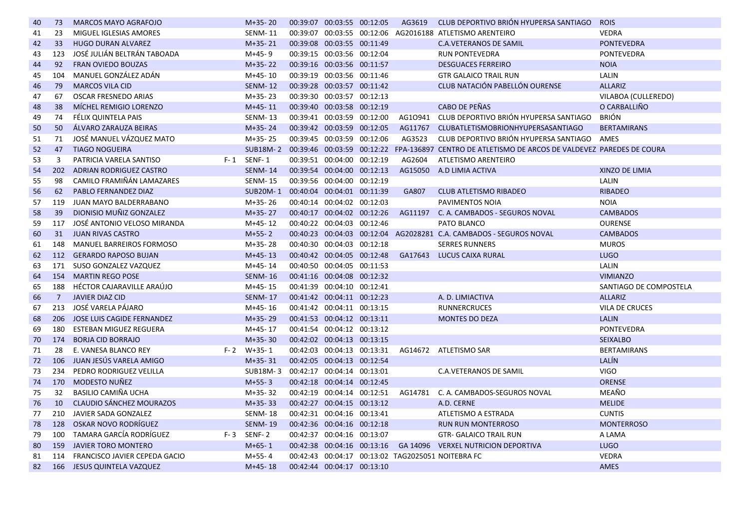| 40 | 73             | <b>MARCOS MAYO AGRAFOJO</b>          | $M+35-20$                           | 00:39:07 00:03:55 00:12:05 | AG3619  | CLUB DEPORTIVO BRIÓN HYUPERSA SANTIAGO                                                                   | <b>ROIS</b>            |
|----|----------------|--------------------------------------|-------------------------------------|----------------------------|---------|----------------------------------------------------------------------------------------------------------|------------------------|
| 41 | 23             | MIGUEL IGLESIAS AMORES               | <b>SENM-11</b>                      |                            |         | 00:39:07 00:03:55 00:12:06 AG2016188 ATLETISMO ARENTEIRO                                                 | <b>VEDRA</b>           |
| 42 | 33             | <b>HUGO DURAN ALVAREZ</b>            | $M+35-21$                           | 00:39:08 00:03:55 00:11:49 |         | <b>C.A.VETERANOS DE SAMIL</b>                                                                            | <b>PONTEVEDRA</b>      |
| 43 | 123            | JOSÉ JULIÁN BELTRÁN TABOADA          | M+45-9                              | 00:39:15 00:03:56 00:12:04 |         | <b>RUN PONTEVEDRA</b>                                                                                    | <b>PONTEVEDRA</b>      |
| 44 | 92             | <b>FRAN OVIEDO BOUZAS</b>            | $M+35-22$                           | 00:39:16 00:03:56 00:11:57 |         | <b>DESGUACES FERREIRO</b>                                                                                | <b>NOIA</b>            |
| 45 | 104            | MANUEL GONZÁLEZ ADÁN                 | M+45-10                             | 00:39:19 00:03:56 00:11:46 |         | <b>GTR GALAICO TRAIL RUN</b>                                                                             | LALIN                  |
| 46 | 79             | <b>MARCOS VILA CID</b>               | <b>SENM-12</b>                      | 00:39:28 00:03:57 00:11:42 |         | CLUB NATACIÓN PABELLÓN OURENSE                                                                           | <b>ALLARIZ</b>         |
| 47 | 67             | <b>OSCAR FRESNEDO ARIAS</b>          | $M+35-23$                           | 00:39:30 00:03:57 00:12:13 |         |                                                                                                          | VILABOA (CULLEREDO)    |
| 48 | 38             | MÍCHEL REMIGIO LORENZO               | $M+45-11$                           | 00:39:40 00:03:58 00:12:19 |         | CABO DE PEÑAS                                                                                            | O CARBALLIÑO           |
| 49 | 74             | FÉLIX QUINTELA PAIS                  | <b>SENM-13</b>                      | 00:39:41 00:03:59 00:12:00 | AG10941 | CLUB DEPORTIVO BRIÓN HYUPERSA SANTIAGO                                                                   | <b>BRIÓN</b>           |
| 50 | 50             | ÁLVARO ZARAUZA BEIRAS                | $M+35-24$                           | 00:39:42 00:03:59 00:12:05 | AG11767 | CLUBATLETISMOBRIONHYUPERSASANTIAGO                                                                       | <b>BERTAMIRANS</b>     |
| 51 | 71             | JOSÉ MANUEL VÁZQUEZ MATO             | $M+35-25$                           | 00:39:45 00:03:59 00:12:06 | AG3523  | CLUB DEPORTIVO BRIÓN HYUPERSA SANTIAGO                                                                   | AMES                   |
| 52 | 47             | <b>TIAGO NOGUEIRA</b>                |                                     |                            |         | SUB18M-2 00:39:46 00:03:59 00:12:22 FPA-136897 CENTRO DE ATLETISMO DE ARCOS DE VALDEVEZ PAREDES DE COURA |                        |
| 53 | 3              | PATRICIA VARELA SANTISO              | F-1 SENF-1                          | 00:39:51 00:04:00 00:12:19 | AG2604  | ATLETISMO ARENTEIRO                                                                                      |                        |
| 54 | 202            | ADRIAN RODRIGUEZ CASTRO              | <b>SENM-14</b>                      | 00:39:54 00:04:00 00:12:13 |         | AG15050 A.D LIMIA ACTIVA                                                                                 | XINZO DE LIMIA         |
| 55 | 98             | CAMILO FRAMIÑÁN LAMAZARES            | <b>SENM-15</b>                      | 00:39:56 00:04:00 00:12:19 |         |                                                                                                          | LALIN                  |
| 56 | 62             | <b>PABLO FERNANDEZ DIAZ</b>          | <b>SUB20M-1</b>                     | 00:40:04 00:04:01 00:11:39 | GA807   | <b>CLUB ATLETISMO RIBADEO</b>                                                                            | <b>RIBADEO</b>         |
| 57 | 119            | JUAN MAYO BALDERRABANO               | M+35-26                             | 00:40:14 00:04:02 00:12:03 |         | PAVIMENTOS NOIA                                                                                          | <b>NOIA</b>            |
| 58 | 39             | DIONISIO MUÑIZ GONZALEZ              | $M+35-27$                           | 00:40:17 00:04:02 00:12:26 | AG11197 | C. A. CAMBADOS - SEGUROS NOVAL                                                                           | <b>CAMBADOS</b>        |
| 59 | 117            | JOSÉ ANTONIO VELOSO MIRANDA          | M+45-12                             | 00:40:22 00:04:03 00:12:46 |         | PATO BLANCO                                                                                              | <b>OURENSE</b>         |
| 60 | 31             | <b>JUAN RIVAS CASTRO</b>             | $M+55-2$                            |                            |         | 00:40:23  00:04:03  00:12:04  AG2028281  C.A. CAMBADOS - SEGUROS NOVAL                                   | <b>CAMBADOS</b>        |
| 61 | 148            | MANUEL BARREIROS FORMOSO             | M+35-28                             | 00:40:30 00:04:03 00:12:18 |         | <b>SERRES RUNNERS</b>                                                                                    | <b>MUROS</b>           |
| 62 | 112            | <b>GERARDO RAPOSO BUJAN</b>          | $M+45-13$                           | 00:40:42 00:04:05 00:12:48 |         | GA17643 LUCUS CAIXA RURAL                                                                                | <b>LUGO</b>            |
| 63 | 171            | SUSO GONZALEZ VAZQUEZ                | M+45-14                             | 00:40:50 00:04:05 00:11:53 |         |                                                                                                          | LALIN                  |
| 64 | 154            | <b>MARTIN REGO POSE</b>              | <b>SENM-16</b>                      | 00:41:16 00:04:08 00:12:32 |         |                                                                                                          | <b>VIMIANZO</b>        |
| 65 | 188            | HÉCTOR CAJARAVILLE ARAÚJO            | $M+45-15$                           | 00:41:39 00:04:10 00:12:41 |         |                                                                                                          | SANTIAGO DE COMPOSTELA |
| 66 | $\overline{7}$ | <b>JAVIER DIAZ CID</b>               | <b>SENM-17</b>                      | 00:41:42 00:04:11 00:12:23 |         | A. D. LIMIACTIVA                                                                                         | <b>ALLARIZ</b>         |
| 67 | 213            | JOSÉ VARELA PÁJARO                   | M+45-16                             | 00:41:42 00:04:11 00:13:15 |         | <b>RUNNERCRUCES</b>                                                                                      | <b>VILA DE CRUCES</b>  |
| 68 | 206            | JOSE LUIS CAGIDE FERNANDEZ           | $M+35-29$                           | 00:41:53 00:04:12 00:13:11 |         | <b>MONTES DO DEZA</b>                                                                                    | <b>LALIN</b>           |
| 69 | 180            | ESTEBAN MIGUEZ REGUERA               | M+45-17                             | 00:41:54 00:04:12 00:13:12 |         |                                                                                                          | <b>PONTEVEDRA</b>      |
| 70 | 174            | <b>BORJA CID BORRAJO</b>             | $M+35-30$                           | 00:42:02 00:04:13 00:13:15 |         |                                                                                                          | <b>SEIXALBO</b>        |
| 71 | 28             | E. VANESA BLANCO REY                 | $F-2$ W+35-1                        | 00:42:03 00:04:13 00:13:31 |         | AG14672 ATLETISMO SAR                                                                                    | <b>BERTAMIRANS</b>     |
| 72 | 106            | JUAN JESÚS VARELA AMIGO              | $M+35-31$                           | 00:42:05 00:04:13 00:12:54 |         |                                                                                                          | LALÍN                  |
| 73 | 234            | PEDRO RODRIGUEZ VELILLA              | SUB18M-3 00:42:17 00:04:14 00:13:01 |                            |         | <b>C.A.VETERANOS DE SAMIL</b>                                                                            | <b>VIGO</b>            |
| 74 | 170            | MODESTO NUÑEZ                        | $M+55-3$                            | 00:42:18 00:04:14 00:12:45 |         |                                                                                                          | <b>ORENSE</b>          |
| 75 | 32             | BASILIO CAMIÑA UCHA                  | M+35-32                             | 00:42:19 00:04:14 00:12:51 |         | AG14781 C. A. CAMBADOS-SEGUROS NOVAL                                                                     | MEAÑO                  |
| 76 | 10             | CLAUDIO SÁNCHEZ MOURAZOS             | $M+35-33$                           | 00:42:27 00:04:15 00:13:12 |         | A.D. CERNE                                                                                               | <b>MELIDE</b>          |
| 77 | 210            | JAVIER SADA GONZALEZ                 | <b>SENM-18</b>                      | 00:42:31 00:04:16 00:13:41 |         | ATLETISMO A ESTRADA                                                                                      | <b>CUNTIS</b>          |
| 78 | 128            | OSKAR NOVO RODRÍGUEZ                 | <b>SENM-19</b>                      | 00:42:36 00:04:16 00:12:18 |         | <b>RUN RUN MONTERROSO</b>                                                                                | <b>MONTERROSO</b>      |
| 79 | 100            | TAMARA GARCÍA RODRÍGUEZ              | $F-3$ SENF-2                        | 00:42:37 00:04:16 00:13:07 |         | <b>GTR- GALAICO TRAIL RUN</b>                                                                            | A LAMA                 |
| 80 | 159            | <b>JAVIER TORO MONTERO</b>           | $M+65-1$                            | 00:42:38 00:04:16 00:13:16 |         | GA 14096 VERXEL NUTRICION DEPORTIVA                                                                      | <b>LUGO</b>            |
| 81 | 114            | <b>FRANCISCO JAVIER CEPEDA GACIO</b> | $M+55-4$                            |                            |         | 00:42:43 00:04:17 00:13:02 TAG2025051 NOITEBRA FC                                                        | <b>VEDRA</b>           |
| 82 |                | 166 JESUS QUINTELA VAZQUEZ           | $M+45-18$                           | 00:42:44 00:04:17 00:13:10 |         |                                                                                                          | <b>AMES</b>            |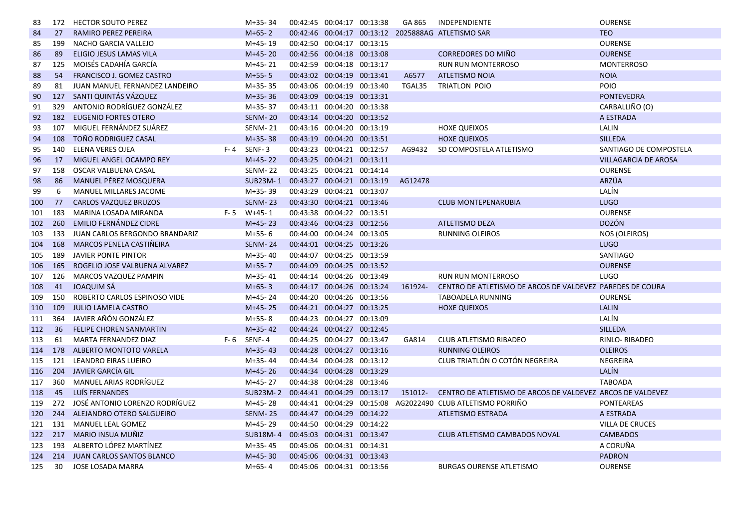| 83  | 172 | <b>HECTOR SOUTO PEREZ</b>        | M+35-34         | 00:42:45 00:04:17 00:13:38 | GA 865  | INDEPENDIENTE                                              | <b>OURENSE</b>              |
|-----|-----|----------------------------------|-----------------|----------------------------|---------|------------------------------------------------------------|-----------------------------|
| 84  | 27  | RAMIRO PEREZ PEREIRA             | $M+65-2$        |                            |         | 00:42:46 00:04:17 00:13:12 2025888AG ATLETISMO SAR         | <b>TEO</b>                  |
| 85  | 199 | NACHO GARCIA VALLEJO             | M+45-19         | 00:42:50 00:04:17 00:13:15 |         |                                                            | <b>OURENSE</b>              |
| 86  | 89  | <b>ELIGIO JESUS LAMAS VILA</b>   | $M+45-20$       | 00:42:56 00:04:18 00:13:08 |         | CORREDORES DO MIÑO                                         | <b>OURENSE</b>              |
| 87  | 125 | MOISÉS CADAHÍA GARCÍA            | $M+45-21$       | 00:42:59 00:04:18 00:13:17 |         | <b>RUN RUN MONTERROSO</b>                                  | <b>MONTERROSO</b>           |
| 88  | 54  | FRANCISCO J. GOMEZ CASTRO        | $M+55-5$        | 00:43:02 00:04:19 00:13:41 | A6577   | <b>ATLETISMO NOIA</b>                                      | <b>NOIA</b>                 |
| 89  | 81  | JUAN MANUEL FERNANDEZ LANDEIRO   | M+35-35         | 00:43:06 00:04:19 00:13:40 | TGAL35  | <b>TRIATLON POIO</b>                                       | <b>POIO</b>                 |
| 90  | 127 | SANTI QUINTÁS VÁZQUEZ            | $M+35-36$       | 00:43:09 00:04:19 00:13:31 |         |                                                            | <b>PONTEVEDRA</b>           |
| 91  | 329 | ANTONIO RODRÍGUEZ GONZÁLEZ       | M+35-37         | 00:43:11 00:04:20 00:13:38 |         |                                                            | CARBALLIÑO (O)              |
| 92  | 182 | <b>EUGENIO FORTES OTERO</b>      | <b>SENM-20</b>  | 00:43:14 00:04:20 00:13:52 |         |                                                            | A ESTRADA                   |
| 93  | 107 | MIGUEL FERNÁNDEZ SUÁREZ          | <b>SENM-21</b>  | 00:43:16 00:04:20 00:13:19 |         | <b>HOXE QUEIXOS</b>                                        | LALIN                       |
| 94  | 108 | <b>TOÑO RODRIGUEZ CASAL</b>      | $M+35-38$       | 00:43:19 00:04:20 00:13:51 |         | <b>HOXE QUEIXOS</b>                                        | <b>SILLEDA</b>              |
| 95  | 140 | ELENA VERES OJEA                 | $F - 4$ SENF-3  | 00:43:23 00:04:21 00:12:57 | AG9432  | SD COMPOSTELA ATLETISMO                                    | SANTIAGO DE COMPOSTELA      |
| 96  | 17  | MIGUEL ANGEL OCAMPO REY          | $M+45-22$       | 00:43:25 00:04:21 00:13:11 |         |                                                            | <b>VILLAGARCIA DE AROSA</b> |
| 97  | 158 | OSCAR VALBUENA CASAL             | <b>SENM-22</b>  | 00:43:25 00:04:21 00:14:14 |         |                                                            | <b>OURENSE</b>              |
| 98  | 86  | MANUEL PÉREZ MOSQUERA            | <b>SUB23M-1</b> | 00:43:27 00:04:21 00:13:19 | AG12478 |                                                            | ARZÚA                       |
| 99  | 6   | MANUEL MILLARES JACOME           | M+35-39         | 00:43:29 00:04:21 00:13:07 |         |                                                            | LALÍN                       |
| 100 | 77  | <b>CARLOS VAZQUEZ BRUZOS</b>     | <b>SENM-23</b>  | 00:43:30 00:04:21 00:13:46 |         | <b>CLUB MONTEPENARUBIA</b>                                 | <b>LUGO</b>                 |
| 101 | 183 | MARINA LOSADA MIRANDA            | $F - 5$ W+45-1  | 00:43:38 00:04:22 00:13:51 |         |                                                            | <b>OURENSE</b>              |
| 102 | 260 | EMILIO FERNÁNDEZ CIDRE           | $M+45-23$       | 00:43:46 00:04:23 00:12:56 |         | ATLETISMO DEZA                                             | <b>DOZÓN</b>                |
| 103 | 133 | JUAN CARLOS BERGONDO BRANDARIZ   | M+55-6          | 00:44:00 00:04:24 00:13:05 |         | RUNNING OLEIROS                                            | NOS (OLEIROS)               |
| 104 | 168 | MARCOS PENELA CASTIÑEIRA         | <b>SENM-24</b>  | 00:44:01 00:04:25 00:13:26 |         |                                                            | <b>LUGO</b>                 |
| 105 | 189 | <b>JAVIER PONTE PINTOR</b>       | M+35-40         | 00:44:07 00:04:25 00:13:59 |         |                                                            | <b>SANTIAGO</b>             |
| 106 | 165 | ROGELIO JOSE VALBUENA ALVAREZ    | $M+55-7$        | 00:44:09 00:04:25 00:13:52 |         |                                                            | <b>OURENSE</b>              |
| 107 | 126 | MARCOS VAZQUEZ PAMPIN            | M+35-41         | 00:44:14 00:04:26 00:13:49 |         | <b>RUN RUN MONTERROSO</b>                                  | <b>LUGO</b>                 |
| 108 | 41  | <b>JOAQUIM SÁ</b>                | $M+65-3$        | 00:44:17 00:04:26 00:13:24 | 161924- | CENTRO DE ATLETISMO DE ARCOS DE VALDEVEZ PAREDES DE COURA  |                             |
| 109 | 150 | ROBERTO CARLOS ESPINOSO VIDE     | M+45-24         | 00:44:20 00:04:26 00:13:56 |         | <b>TABOADELA RUNNING</b>                                   | <b>OURENSE</b>              |
| 110 | 109 | <b>JULIO LAMELA CASTRO</b>       | $M+45-25$       | 00:44:21 00:04:27 00:13:25 |         | <b>HOXE QUEIXOS</b>                                        | <b>LALIN</b>                |
| 111 | 364 | JAVIER AÑÓN GONZÁLEZ             | $M+55-8$        | 00:44:23 00:04:27 00:13:09 |         |                                                            | LALÍN                       |
| 112 | 36  | <b>FELIPE CHOREN SANMARTIN</b>   | $M+35-42$       | 00:44:24 00:04:27 00:12:45 |         |                                                            | <b>SILLEDA</b>              |
| 113 | 61  | MARTA FERNANDEZ DIAZ             | $F-6$ SENF-4    | 00:44:25 00:04:27 00:13:47 | GA814   | CLUB ATLETISMO RIBADEO                                     | RINLO-RIBADEO               |
| 114 | 178 | ALBERTO MONTOTO VARELA           | $M+35-43$       | 00:44:28 00:04:27 00:13:16 |         | <b>RUNNING OLEIROS</b>                                     | <b>OLEIROS</b>              |
| 115 | 121 | LEANDRO EIRAS LUEIRO             | M+35-44         | 00:44:34 00:04:28 00:13:12 |         | CLUB TRIATLÓN O COTÓN NEGREIRA                             | NEGREIRA                    |
| 116 | 204 | JAVIER GARCÍA GIL                | $M+45-26$       | 00:44:34 00:04:28 00:13:29 |         |                                                            | LALÍN                       |
| 117 | 360 | <b>MANUEL ARIAS RODRÍGUEZ</b>    | M+45-27         | 00:44:38 00:04:28 00:13:46 |         |                                                            | <b>TABOADA</b>              |
| 118 | 45  | LUÍS FERNANDES                   | <b>SUB23M-2</b> | 00:44:41 00:04:29 00:13:17 | 151012- | CENTRO DE ATLETISMO DE ARCOS DE VALDEVEZ ARCOS DE VALDEVEZ |                             |
| 119 | 272 | JOSÉ ANTONIO LORENZO RODRÍGUEZ   | M+45-28         | 00:44:41 00:04:29 00:15:08 |         | AG2022490 CLUB ATLETISMO PORRIÑO                           | <b>PONTEAREAS</b>           |
| 120 | 244 | ALEJANDRO OTERO SALGUEIRO        | <b>SENM-25</b>  | 00:44:47 00:04:29 00:14:22 |         | <b>ATLETISMO ESTRADA</b>                                   | A ESTRADA                   |
| 121 | 131 | MANUEL LEAL GOMEZ                | M+45-29         | 00:44:50 00:04:29 00:14:22 |         |                                                            | <b>VILLA DE CRUCES</b>      |
| 122 | 217 | MARIO INSUA MUÑIZ                | <b>SUB18M-4</b> | 00:45:03 00:04:31 00:13:47 |         | <b>CLUB ATLETISMO CAMBADOS NOVAL</b>                       | <b>CAMBADOS</b>             |
| 123 | 193 | ALBERTO LÓPEZ MARTÍNEZ           | $M+35-45$       | 00:45:06 00:04:31 00:14:31 |         |                                                            | A CORUÑA                    |
| 124 | 214 | <b>JUAN CARLOS SANTOS BLANCO</b> | $M+45-30$       | 00:45:06 00:04:31 00:13:43 |         |                                                            | <b>PADRON</b>               |
| 125 | 30  | JOSE LOSADA MARRA                | $M+65-4$        | 00:45:06 00:04:31 00:13:56 |         | <b>BURGAS OURENSE ATLETISMO</b>                            | <b>OURENSE</b>              |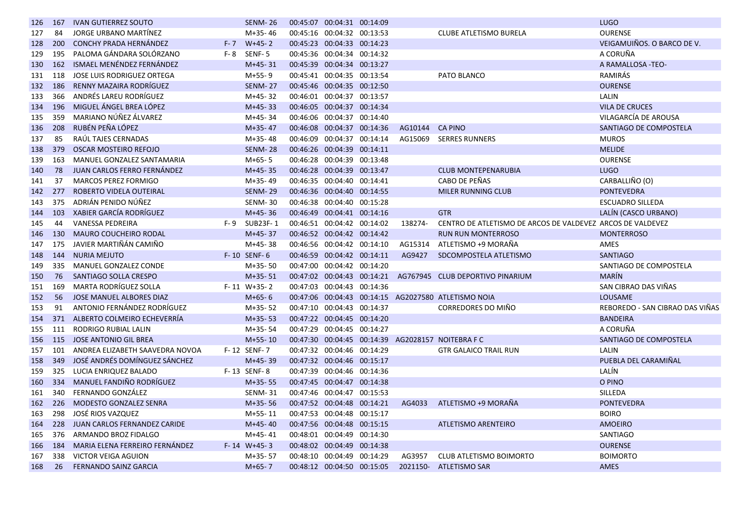| 126 | 167 | <b>IVAN GUTIERREZ SOUTO</b>         |         | <b>SENM-26</b>   | 00:45:07 00:04:31 00:14:09 |         |                                                            | <b>LUGO</b>                     |
|-----|-----|-------------------------------------|---------|------------------|----------------------------|---------|------------------------------------------------------------|---------------------------------|
| 127 | 84  | JORGE URBANO MARTÍNEZ               |         | $M+35-46$        | 00:45:16 00:04:32 00:13:53 |         | CLUBE ATLETISMO BURELA                                     | <b>OURENSE</b>                  |
| 128 | 200 | <b>CONCHY PRADA HERNÁNDEZ</b>       | $F - 7$ | $W+45-2$         | 00:45:23 00:04:33 00:14:23 |         |                                                            | VEIGAMUIÑOS. O BARCO DE V.      |
| 129 | 195 | PALOMA GÁNDARA SOLÓRZANO            | $F - 8$ | SENF-5           | 00:45:36 00:04:34 00:14:32 |         |                                                            | A CORUÑA                        |
| 130 | 162 | ISMAEL MENÉNDEZ FERNÁNDEZ           |         | $M+45-31$        | 00:45:39 00:04:34 00:13:27 |         |                                                            | A RAMALLOSA -TEO-               |
| 131 | 118 | <b>JOSE LUIS RODRIGUEZ ORTEGA</b>   |         | $M+55-9$         | 00:45:41 00:04:35 00:13:54 |         | PATO BLANCO                                                | RAMIRÁS                         |
| 132 | 186 | RENNY MAZAIRA RODRÍGUEZ             |         | <b>SENM-27</b>   | 00:45:46 00:04:35 00:12:50 |         |                                                            | <b>OURENSE</b>                  |
| 133 | 366 | ANDRÉS LAREU RODRÍGUEZ              |         | $M+45-32$        | 00:46:01 00:04:37 00:13:57 |         |                                                            | LALIN                           |
| 134 | 196 | MIGUEL ÁNGEL BREA LÓPEZ             |         | $M+45-33$        | 00:46:05 00:04:37 00:14:34 |         |                                                            | <b>VILA DE CRUCES</b>           |
| 135 | 359 | MARIANO NÚÑEZ ÁLVAREZ               |         | $M+45-34$        | 00:46:06 00:04:37 00:14:40 |         |                                                            | VILAGARCÍA DE AROUSA            |
| 136 | 208 | RUBÉN PEÑA LÓPEZ                    |         | $M+35-47$        | 00:46:08 00:04:37 00:14:36 | AG10144 | <b>CA PINO</b>                                             | SANTIAGO DE COMPOSTELA          |
| 137 | 85  | RAÚL TAJES CERNADAS                 |         | M+35-48          | 00:46:09 00:04:37 00:14:14 | AG15069 | <b>SERRES RUNNERS</b>                                      | <b>MUROS</b>                    |
| 138 | 379 | <b>OSCAR MOSTEIRO REFOJO</b>        |         | <b>SENM-28</b>   | 00:46:26 00:04:39 00:14:11 |         |                                                            | <b>MELIDE</b>                   |
| 139 | 163 | MANUEL GONZALEZ SANTAMARIA          |         | $M+65-5$         | 00:46:28 00:04:39 00:13:48 |         |                                                            | <b>OURENSE</b>                  |
| 140 | 78  | JUAN CARLOS FERRO FERNÁNDEZ         |         | $M+45-35$        | 00:46:28 00:04:39 00:13:47 |         | <b>CLUB MONTEPENARUBIA</b>                                 | <b>LUGO</b>                     |
| 141 | 37  | <b>MARCOS PEREZ FORMIGO</b>         |         | M+35-49          | 00:46:35 00:04:40 00:14:41 |         | CABO DE PEÑAS                                              | CARBALLIÑO (O)                  |
| 142 | 277 | ROBERTO VIDELA OUTEIRAL             |         | <b>SENM-29</b>   | 00:46:36 00:04:40 00:14:55 |         | <b>MILER RUNNING CLUB</b>                                  | <b>PONTEVEDRA</b>               |
| 143 | 375 | ADRIÁN PENIDO NÚÑEZ                 |         | <b>SENM-30</b>   | 00:46:38 00:04:40 00:15:28 |         |                                                            | <b>ESCUADRO SILLEDA</b>         |
| 144 | 103 | XABIER GARCÍA RODRÍGUEZ             |         | $M+45-36$        | 00:46:49 00:04:41 00:14:16 |         | <b>GTR</b>                                                 | LALIN (CASCO URBANO)            |
| 145 | 44  | VANESSA PEDREIRA                    | F-9     | SUB23F-1         | 00:46:51 00:04:42 00:14:02 | 138274- | CENTRO DE ATLETISMO DE ARCOS DE VALDEVEZ ARCOS DE VALDEVEZ |                                 |
| 146 | 130 | <b>MAURO COUCHEIRO RODAL</b>        |         | $M+45-37$        | 00:46:52 00:04:42 00:14:42 |         | <b>RUN RUN MONTERROSO</b>                                  | <b>MONTERROSO</b>               |
| 147 | 175 | JAVIER MARTIÑÁN CAMIÑO              |         | $M+45-38$        | 00:46:56 00:04:42 00:14:10 | AG15314 | ATLETISMO +9 MORAÑA                                        | AMES                            |
| 148 | 144 | <b>NURIA MEJUTO</b>                 |         | F-10 SENF-6      | 00:46:59 00:04:42 00:14:11 | AG9427  | SDCOMPOSTELA ATLETISMO                                     | <b>SANTIAGO</b>                 |
| 149 | 335 | MANUEL GONZALEZ CONDE               |         | $M+35-50$        | 00:47:00 00:04:42 00:14:20 |         |                                                            | SANTIAGO DE COMPOSTELA          |
| 150 | 76  | SANTIAGO SOLLA CRESPO               |         | $M+35-51$        | 00:47:02 00:04:43 00:14:21 |         | AG767945 CLUB DEPORTIVO PINARIUM                           | <b>MARÍN</b>                    |
| 151 | 169 | MARTA RODRÍGUEZ SOLLA               |         | F-11 W+35-2      | 00:47:03 00:04:43 00:14:36 |         |                                                            | SAN CIBRAO DAS VIÑAS            |
| 152 | 56  | <b>JOSE MANUEL ALBORES DIAZ</b>     |         | $M+65-6$         |                            |         | 00:47:06 00:04:43 00:14:15 AG2027580 ATLETISMO NOIA        | <b>LOUSAME</b>                  |
| 153 | 91  | ANTONIO FERNÁNDEZ RODRÍGUEZ         |         | $M+35-52$        | 00:47:10 00:04:43 00:14:37 |         | CORREDORES DO MIÑO                                         | REBOREDO - SAN CIBRAO DAS VIÑAS |
| 154 | 371 | ALBERTO COLMEIRO ECHEVERRÍA         |         | $M+35-53$        | 00:47:22 00:04:45 00:14:20 |         |                                                            | <b>BANDEIRA</b>                 |
| 155 | 111 | RODRIGO RUBIAL LALIN                |         | $M+35-54$        | 00:47:29 00:04:45 00:14:27 |         |                                                            | A CORUÑA                        |
| 156 | 115 | <b>JOSE ANTONIO GIL BREA</b>        |         | $M+55-10$        |                            |         | 00:47:30 00:04:45 00:14:39 AG2028157 NOITEBRA F C          | SANTIAGO DE COMPOSTELA          |
| 157 | 101 | ANDREA ELIZABETH SAAVEDRA NOVOA     |         | F-12 SENF-7      | 00:47:32 00:04:46 00:14:29 |         | <b>GTR GALAICO TRAIL RUN</b>                               | LALIN                           |
| 158 | 349 | JOSÉ ANDRÉS DOMÍNGUEZ SÁNCHEZ       |         | $M+45-39$        | 00:47:32 00:04:46 00:15:17 |         |                                                            | PUEBLA DEL CARAMIÑAL            |
| 159 | 325 | LUCIA ENRIQUEZ BALADO               |         | F-13 SENF-8      | 00:47:39 00:04:46 00:14:36 |         |                                                            | LALÍN                           |
| 160 | 334 | MANUEL FANDIÑO RODRÍGUEZ            |         | $M+35-55$        | 00:47:45 00:04:47 00:14:38 |         |                                                            | O PINO                          |
| 161 | 340 | FERNANDO GONZÁLEZ                   |         | <b>SENM-31</b>   | 00:47:46 00:04:47 00:15:53 |         |                                                            | SILLEDA                         |
| 162 | 226 | MODESTO GONZALEZ SENRA              |         | $M+35-56$        | 00:47:52 00:04:48 00:14:21 | AG4033  | ATLETISMO +9 MORAÑA                                        | <b>PONTEVEDRA</b>               |
| 163 | 298 | JOSÉ RIOS VAZQUEZ                   |         | $M+55-11$        | 00:47:53 00:04:48 00:15:17 |         |                                                            | <b>BOIRO</b>                    |
| 164 | 228 | <b>JUAN CARLOS FERNANDEZ CARIDE</b> |         | $M+45-40$        | 00:47:56 00:04:48 00:15:15 |         | ATLETISMO ARENTEIRO                                        | <b>AMOEIRO</b>                  |
| 165 | 376 | ARMANDO BROZ FIDALGO                |         | $M+45-41$        | 00:48:01 00:04:49 00:14:30 |         |                                                            | SANTIAGO                        |
| 166 | 184 | MARIA ELENA FERREIRO FERNÁNDEZ      |         | $F- 14 W+ 45- 3$ | 00:48:02 00:04:49 00:14:38 |         |                                                            | <b>OURENSE</b>                  |
| 167 | 338 | <b>VICTOR VEIGA AGUION</b>          |         | $M+35-57$        | 00:48:10 00:04:49 00:14:29 | AG3957  | <b>CLUB ATLETISMO BOIMORTO</b>                             | <b>BOIMORTO</b>                 |
| 168 | 26  | <b>FERNANDO SAINZ GARCIA</b>        |         | $M+65-7$         | 00:48:12 00:04:50 00:15:05 |         | 2021150- ATLETISMO SAR                                     | <b>AMES</b>                     |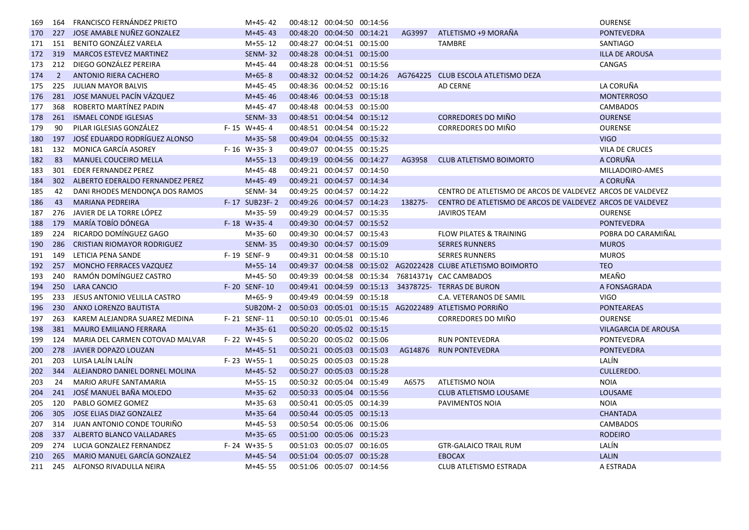| 169 | 164            | <b>FRANCISCO FERNÁNDEZ PRIETO</b>   | M+45-42         | 00:48:12 00:04:50 00:14:56 |         |                                                               | <b>OURENSE</b>              |
|-----|----------------|-------------------------------------|-----------------|----------------------------|---------|---------------------------------------------------------------|-----------------------------|
| 170 | 227            | JOSE AMABLE NUNEZ GONZALEZ          | $M+45-43$       | 00:48:20 00:04:50 00:14:21 | AG3997  | ATLETISMO +9 MORAÑA                                           | <b>PONTEVEDRA</b>           |
| 171 | 151            | <b>BENITO GONZÁLEZ VARELA</b>       | $M+55-12$       | 00:48:27 00:04:51 00:15:00 |         | TAMBRE                                                        | <b>SANTIAGO</b>             |
| 172 | 319            | MARCOS ESTEVEZ MARTINEZ             | <b>SENM-32</b>  | 00:48:28 00:04:51 00:15:00 |         |                                                               | <b>ILLA DE AROUSA</b>       |
| 173 | 212            | DIEGO GONZÁLEZ PEREIRA              | M+45-44         | 00:48:28 00:04:51 00:15:56 |         |                                                               | CANGAS                      |
| 174 | $\overline{2}$ | ANTONIO RIERA CACHERO               | $M+65-8$        | 00:48:32 00:04:52 00:14:26 |         | AG764225 CLUB ESCOLA ATLETISMO DEZA                           |                             |
| 175 | 225            | <b>JULIAN MAYOR BALVIS</b>          | M+45-45         | 00:48:36 00:04:52 00:15:16 |         | <b>AD CERNE</b>                                               | LA CORUÑA                   |
| 176 | 281            | JOSE MANUEL PACÍN VÁZQUEZ           | $M+45-46$       | 00:48:46 00:04:53 00:15:18 |         |                                                               | <b>MONTERROSO</b>           |
| 177 | 368            | ROBERTO MARTÍNEZ PADIN              | $M+45-47$       | 00:48:48 00:04:53 00:15:00 |         |                                                               | <b>CAMBADOS</b>             |
| 178 | 261            | <b>ISMAEL CONDE IGLESIAS</b>        | <b>SENM-33</b>  | 00:48:51 00:04:54 00:15:12 |         | <b>CORREDORES DO MIÑO</b>                                     | <b>OURENSE</b>              |
| 179 | 90             | PILAR IGLESIAS GONZÁLEZ             | F-15 W+45-4     | 00:48:51 00:04:54 00:15:22 |         | <b>CORREDORES DO MIÑO</b>                                     | <b>OURENSE</b>              |
| 180 | 197            | JOSÉ EDUARDO RODRÍGUEZ ALONSO       | $M+35-58$       | 00:49:04 00:04:55 00:15:32 |         |                                                               | <b>VIGO</b>                 |
| 181 | 132            | MONICA GARCÍA ASOREY                | $F - 16$ W+35-3 | 00:49:07 00:04:55 00:15:25 |         |                                                               | <b>VILA DE CRUCES</b>       |
| 182 | 83             | <b>MANUEL COUCEIRO MELLA</b>        | $M+55-13$       | 00:49:19 00:04:56 00:14:27 | AG3958  | CLUB ATLETISMO BOIMORTO                                       | A CORUÑA                    |
| 183 | 301            | EDER FERNANDEZ PEREZ                | M+45-48         | 00:49:21 00:04:57 00:14:50 |         |                                                               | MILLADOIRO-AMES             |
| 184 | 302            | ALBERTO EDERALDO FERNANDEZ PEREZ    | $M+45-49$       | 00:49:21 00:04:57 00:14:34 |         |                                                               | A CORUÑA                    |
| 185 | 42             | DANI RHODES MENDONÇA DOS RAMOS      | <b>SENM-34</b>  | 00:49:25 00:04:57 00:14:22 |         | CENTRO DE ATLETISMO DE ARCOS DE VALDEVEZ ARCOS DE VALDEVEZ    |                             |
| 186 | 43             | <b>MARIANA PEDREIRA</b>             | F-17 SUB23F-2   | 00:49:26 00:04:57 00:14:23 | 138275- | CENTRO DE ATLETISMO DE ARCOS DE VALDEVEZ ARCOS DE VALDEVEZ    |                             |
| 187 | 276            | JAVIER DE LA TORRE LÓPEZ            | $M+35-59$       | 00:49:29 00:04:57 00:15:35 |         | <b>JAVIROS TEAM</b>                                           | <b>OURENSE</b>              |
| 188 | 179            | MARÍA TOBÍO DÓNEGA                  | F-18 W+35-4     | 00:49:30 00:04:57 00:15:52 |         |                                                               | <b>PONTEVEDRA</b>           |
| 189 | 224            | RICARDO DOMÍNGUEZ GAGO              | $M+35-60$       | 00:49:30 00:04:57 00:15:43 |         | <b>FLOW PILATES &amp; TRAINING</b>                            | POBRA DO CARAMIÑAL          |
| 190 | 286            | <b>CRISTIAN RIOMAYOR RODRIGUEZ</b>  | <b>SENM-35</b>  | 00:49:30 00:04:57 00:15:09 |         | <b>SERRES RUNNERS</b>                                         | <b>MUROS</b>                |
| 191 | 149            | LETICIA PENA SANDE                  | F-19 SENF-9     | 00:49:31 00:04:58 00:15:10 |         | <b>SERRES RUNNERS</b>                                         | <b>MUROS</b>                |
| 192 | 257            | MONCHO FERRACES VAZQUEZ             | $M+55-14$       |                            |         | 00:49:37 00:04:58 00:15:02 AG2022428 CLUBE ATLETISMO BOIMORTO | <b>TEO</b>                  |
| 193 | 240            | RAMÓN DOMÍNGUEZ CASTRO              | $M+45-50$       |                            |         | 00:49:39 00:04:58 00:15:34 76814371y CAC CAMBADOS             | MEAÑO                       |
| 194 | 250            | <b>LARA CANCIO</b>                  | F-20 SENF-10    | 00:49:41 00:04:59 00:15:13 |         | 34378725- TERRAS DE BURON                                     | A FONSAGRADA                |
| 195 | 233            | JESUS ANTONIO VELILLA CASTRO        | $M+65-9$        | 00:49:49 00:04:59 00:15:18 |         | C.A. VETERANOS DE SAMIL                                       | <b>VIGO</b>                 |
| 196 | 230            | ANXO LORENZO BAUTISTA               | <b>SUB20M-2</b> |                            |         | 00:50:03  00:05:01  00:15:15  AG2022489  ATLETISMO PORRIÑO    | <b>PONTEAREAS</b>           |
| 197 | 263            | KAREM ALEJANDRA SUAREZ MEDINA       | F-21 SENF-11    | 00:50:10 00:05:01 00:15:46 |         | CORREDORES DO MIÑO                                            | <b>OURENSE</b>              |
| 198 | 381            | <b>MAURO EMILIANO FERRARA</b>       | $M+35-61$       | 00:50:20 00:05:02 00:15:15 |         |                                                               | <b>VILAGARCIA DE AROUSA</b> |
| 199 | 124            | MARIA DEL CARMEN COTOVAD MALVAR     | $F - 22$ W+45-5 | 00:50:20 00:05:02 00:15:06 |         | <b>RUN PONTEVEDRA</b>                                         | <b>PONTEVEDRA</b>           |
| 200 | 278            | JAVIER DOPAZO LOUZAN                | $M+45-51$       | 00:50:21 00:05:03 00:15:03 | AG14876 | <b>RUN PONTEVEDRA</b>                                         | <b>PONTEVEDRA</b>           |
| 201 | 203            | LUISA LALÍN LALÍN                   | F-23 W+55-1     | 00:50:25 00:05:03 00:15:28 |         |                                                               | LALÍN                       |
| 202 | 344            | ALEJANDRO DANIEL DORNEL MOLINA      | $M+45-52$       | 00:50:27 00:05:03 00:15:28 |         |                                                               | <b>CULLEREDO.</b>           |
| 203 | 24             | <b>MARIO ARUFE SANTAMARIA</b>       | $M+55-15$       | 00:50:32 00:05:04 00:15:49 | A6575   | <b>ATLETISMO NOIA</b>                                         | <b>NOIA</b>                 |
| 204 | 241            | JOSÉ MANUEL BAÑA MOLEDO             | $M+35-62$       | 00:50:33 00:05:04 00:15:56 |         | <b>CLUB ATLETISMO LOUSAME</b>                                 | <b>LOUSAME</b>              |
| 205 | 120            | PABLO GOMEZ GOMEZ                   | $M+35-63$       | 00:50:41 00:05:05 00:14:39 |         | PAVIMENTOS NOIA                                               | <b>NOIA</b>                 |
| 206 | 305            | JOSE ELIAS DIAZ GONZALEZ            | $M+35-64$       | 00:50:44 00:05:05 00:15:13 |         |                                                               | <b>CHANTADA</b>             |
| 207 | 314            | JUAN ANTONIO CONDE TOURIÑO          | M+45-53         | 00:50:54 00:05:06 00:15:06 |         |                                                               | <b>CAMBADOS</b>             |
| 208 | 337            | ALBERTO BLANCO VALLADARES           | $M+35-65$       | 00:51:00 00:05:06 00:15:23 |         |                                                               | <b>RODEIRO</b>              |
| 209 | 274            | LUCIA GONZALEZ FERNANDEZ            | $F - 24$ W+35-5 | 00:51:03 00:05:07 00:16:05 |         | <b>GTR-GALAICO TRAIL RUM</b>                                  | LALÍN                       |
| 210 | 265            | <b>MARIO MANUEL GARCÍA GONZALEZ</b> | $M+45-54$       | 00:51:04 00:05:07 00:15:28 |         | <b>EBOCAX</b>                                                 | <b>LALIN</b>                |
| 211 | 245            | ALFONSO RIVADULLA NEIRA             | M+45-55         | 00:51:06 00:05:07 00:14:56 |         | CLUB ATLETISMO ESTRADA                                        | A ESTRADA                   |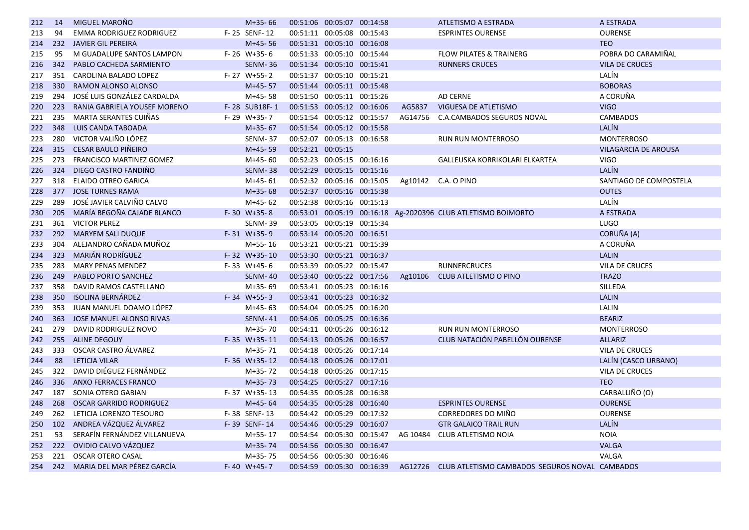| 212 | 14  | MIGUEL MAROÑO                   | $M+35-66$         |                   | 00:51:06 00:05:07 00:14:58 |         | ATLETISMO A ESTRADA                                           | A ESTRADA                   |
|-----|-----|---------------------------------|-------------------|-------------------|----------------------------|---------|---------------------------------------------------------------|-----------------------------|
| 213 | 94  | <b>EMMA RODRIGUEZ RODRIGUEZ</b> | F-25 SENF-12      |                   | 00:51:11 00:05:08 00:15:43 |         | <b>ESPRINTES OURENSE</b>                                      | <b>OURENSE</b>              |
| 214 | 232 | <b>JAVIER GIL PEREIRA</b>       | $M+45-56$         |                   | 00:51:31 00:05:10 00:16:08 |         |                                                               | <b>TEO</b>                  |
| 215 | 95  | M GUADALUPE SANTOS LAMPON       | $F - 26$ W+35-6   |                   | 00:51:33 00:05:10 00:15:44 |         | <b>FLOW PILATES &amp; TRAINERG</b>                            | POBRA DO CARAMIÑAL          |
| 216 | 342 | PABLO CACHEDA SARMIENTO         | <b>SENM-36</b>    |                   | 00:51:34 00:05:10 00:15:41 |         | <b>RUNNERS CRUCES</b>                                         | <b>VILA DE CRUCES</b>       |
| 217 | 351 | CAROLINA BALADO LOPEZ           | F-27 W+55-2       |                   | 00:51:37 00:05:10 00:15:21 |         |                                                               | LALÍN                       |
| 218 | 330 | RAMON ALONSO ALONSO             | $M+45-57$         |                   | 00:51:44 00:05:11 00:15:48 |         |                                                               | <b>BOBORAS</b>              |
| 219 | 294 | JOSÉ LUIS GONZÁLEZ CARDALDA     | M+45-58           |                   | 00:51:50 00:05:11 00:15:26 |         | AD CERNE                                                      | A CORUÑA                    |
| 220 | 223 | RANIA GABRIELA YOUSEF MORENO    | F-28 SUB18F-1     |                   | 00:51:53 00:05:12 00:16:06 | AG5837  | VIGUESA DE ATLETISMO                                          | <b>VIGO</b>                 |
| 221 | 235 | <b>MARTA SERANTES CUIÑAS</b>    | F-29 W+35-7       |                   | 00:51:54 00:05:12 00:15:57 | AG14756 | <b>C.A.CAMBADOS SEGUROS NOVAL</b>                             | <b>CAMBADOS</b>             |
| 222 | 348 | <b>LUIS CANDA TABOADA</b>       | $M+35-67$         |                   | 00:51:54 00:05:12 00:15:58 |         |                                                               | LALÍN                       |
| 223 | 280 | VICTOR VALIÑO LÓPEZ             | <b>SENM-37</b>    |                   | 00:52:07 00:05:13 00:16:58 |         | <b>RUN RUN MONTERROSO</b>                                     | <b>MONTERROSO</b>           |
| 224 | 315 | <b>CESAR BAULO PIÑEIRO</b>      | $M+45-59$         | 00:52:21 00:05:15 |                            |         |                                                               | <b>VILAGARCIA DE AROUSA</b> |
| 225 | 273 | FRANCISCO MARTINEZ GOMEZ        | M+45-60           |                   | 00:52:23 00:05:15 00:16:16 |         | GALLEUSKA KORRIKOLARI ELKARTEA                                | <b>VIGO</b>                 |
| 226 | 324 | DIEGO CASTRO FANDIÑO            | <b>SENM-38</b>    |                   | 00:52:29 00:05:15 00:15:16 |         |                                                               | LALÍN                       |
| 227 | 318 | <b>ELAIDO OTREO GARICA</b>      | M+45-61           |                   | 00:52:32 00:05:16 00:15:05 |         | Ag10142 C.A. O PINO                                           | SANTIAGO DE COMPOSTELA      |
| 228 | 377 | <b>JOSE TURNES RAMA</b>         | $M+35-68$         |                   | 00:52:37 00:05:16 00:15:38 |         |                                                               | <b>OUTES</b>                |
| 229 | 289 | JOSÉ JAVIER CALVIÑO CALVO       | M+45-62           |                   | 00:52:38 00:05:16 00:15:13 |         |                                                               | LALÍN                       |
| 230 | 205 | MARÍA BEGOÑA CAJADE BLANCO      | $F-30$ W+35-8     |                   |                            |         | 00:53:01 00:05:19 00:16:18 Ag-2020396 CLUB ATLETISMO BOIMORTO | A ESTRADA                   |
| 231 | 361 | <b>VICTOR PEREZ</b>             | <b>SENM-39</b>    |                   | 00:53:05 00:05:19 00:15:34 |         |                                                               | <b>LUGO</b>                 |
| 232 | 292 | <b>MARYEM SALI DUQUE</b>        | $F-31$ W+35-9     |                   | 00:53:14 00:05:20 00:16:51 |         |                                                               | CORUÑA (A)                  |
| 233 | 304 | ALEJANDRO CAÑADA MUÑOZ          | M+55-16           |                   | 00:53:21 00:05:21 00:15:39 |         |                                                               | A CORUÑA                    |
| 234 | 323 | <b>MARIÁN RODRÍGUEZ</b>         | F-32 W+35-10      |                   | 00:53:30 00:05:21 00:16:37 |         |                                                               | <b>LALIN</b>                |
| 235 | 283 | <b>MARY PENAS MENDEZ</b>        | $F-33$ W+45-6     |                   | 00:53:39 00:05:22 00:15:47 |         | <b>RUNNERCRUCES</b>                                           | <b>VILA DE CRUCES</b>       |
| 236 | 249 | <b>PABLO PORTO SANCHEZ</b>      | <b>SENM-40</b>    |                   | 00:53:40 00:05:22 00:17:56 | Ag10106 | CLUB ATLETISMO O PINO                                         | <b>TRAZO</b>                |
| 237 | 358 | DAVID RAMOS CASTELLANO          | $M+35-69$         |                   | 00:53:41 00:05:23 00:16:16 |         |                                                               | SILLEDA                     |
| 238 | 350 | <b>ISOLINA BERNÁRDEZ</b>        | $F-34$ W+55-3     |                   | 00:53:41 00:05:23 00:16:32 |         |                                                               | <b>LALIN</b>                |
| 239 | 353 | JUAN MANUEL DOAMO LÓPEZ         | M+45-63           |                   | 00:54:04 00:05:25 00:16:20 |         |                                                               | LALIN                       |
| 240 | 363 | <b>JOSE MANUEL ALONSO RIVAS</b> | <b>SENM-41</b>    |                   | 00:54:06 00:05:25 00:16:36 |         |                                                               | <b>BEARIZ</b>               |
| 241 | 279 | DAVID RODRIGUEZ NOVO            | $M+35-70$         |                   | 00:54:11 00:05:26 00:16:12 |         | <b>RUN RUN MONTERROSO</b>                                     | <b>MONTERROSO</b>           |
| 242 | 255 | <b>ALINE DEGOUY</b>             | F-35 W+35-11      |                   | 00:54:13 00:05:26 00:16:57 |         | CLUB NATACIÓN PABELLÓN OURENSE                                | <b>ALLARIZ</b>              |
| 243 | 333 | OSCAR CASTRO ÁLVAREZ            | $M+35-71$         |                   | 00:54:18 00:05:26 00:17:14 |         |                                                               | VILA DE CRUCES              |
| 244 | 88  | <b>LETICIA VILAR</b>            | $F-36$ W+35-12    |                   | 00:54:18 00:05:26 00:17:01 |         |                                                               | LALÍN (CASCO URBANO)        |
| 245 | 322 | DAVID DIÉGUEZ FERNÁNDEZ         | M+35-72           |                   | 00:54:18 00:05:26 00:17:15 |         |                                                               | <b>VILA DE CRUCES</b>       |
| 246 | 336 | <b>ANXO FERRACES FRANCO</b>     | $M+35-73$         |                   | 00:54:25 00:05:27 00:17:16 |         |                                                               | <b>TEO</b>                  |
| 247 | 187 | SONIA OTERO GABIAN              | F-37 W+35-13      |                   | 00:54:35 00:05:28 00:16:38 |         |                                                               | CARBALLIÑO (O)              |
| 248 | 268 | <b>OSCAR GARRIDO RODRIGUEZ</b>  | $M+45-64$         |                   | 00:54:35 00:05:28 00:16:40 |         | <b>ESPRINTES OURENSE</b>                                      | <b>OURENSE</b>              |
| 249 | 262 | LETICIA LORENZO TESOURO         | F-38 SENF-13      |                   | 00:54:42 00:05:29 00:17:32 |         | CORREDORES DO MIÑO                                            | <b>OURENSE</b>              |
| 250 | 102 | ANDREA VÁZQUEZ ÁLVAREZ          | F-39 SENF-14      |                   | 00:54:46 00:05:29 00:16:07 |         | <b>GTR GALAICO TRAIL RUN</b>                                  | LALÍN                       |
| 251 | 53  | SERAFÍN FERNÁNDEZ VILLANUEVA    | M+55-17           |                   | 00:54:54 00:05:30 00:15:47 |         | AG 10484 CLUB ATLETISMO NOIA                                  | <b>NOIA</b>                 |
| 252 | 222 | OVIDIO CALVO VÁZQUEZ            | $M+35-74$         |                   | 00:54:56 00:05:30 00:16:47 |         |                                                               | <b>VALGA</b>                |
| 253 | 221 | <b>OSCAR OTERO CASAL</b>        | $M+35-75$         |                   | 00:54:56 00:05:30 00:16:46 |         |                                                               | VALGA                       |
| 254 | 242 | MARIA DEL MAR PÉREZ GARCÍA      | $F- 40 W+ 45 - 7$ |                   | 00:54:59 00:05:30 00:16:39 |         | AG12726 CLUB ATLETISMO CAMBADOS SEGUROS NOVAL CAMBADOS        |                             |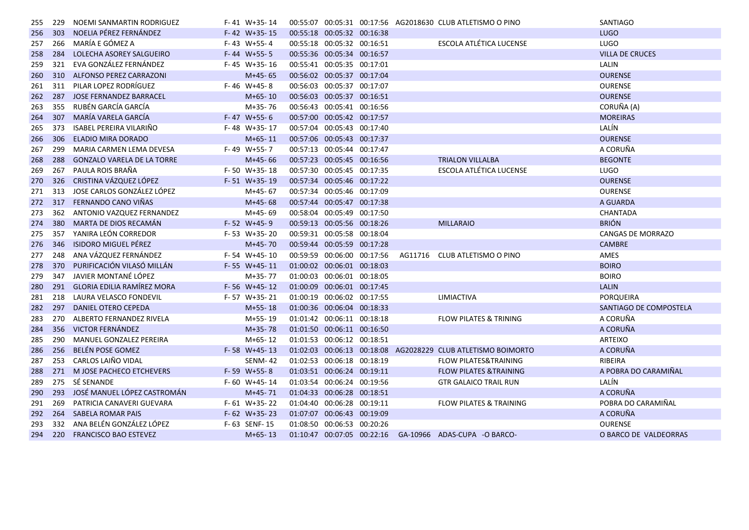| 255 | 229 | NOEMI SANMARTIN RODRIGUEZ         | $F-41$ W+35-14   |                            |  | 00:55:07 00:05:31 00:17:56 AG2018630 CLUB ATLETISMO O PINO   | SANTIAGO                 |
|-----|-----|-----------------------------------|------------------|----------------------------|--|--------------------------------------------------------------|--------------------------|
| 256 | 303 | NOELIA PÉREZ FERNÁNDEZ            | $F- 42 W+35-15$  | 00:55:18 00:05:32 00:16:38 |  |                                                              | <b>LUGO</b>              |
| 257 | 266 | MARÍA E GÓMEZ A                   | $F-43$ W+55-4    | 00:55:18 00:05:32 00:16:51 |  | <b>ESCOLA ATLÉTICA LUCENSE</b>                               | LUGO                     |
| 258 | 284 | LOLECHA ASOREY SALGUEIRO          | F-44 W+55-5      | 00:55:36 00:05:34 00:16:57 |  |                                                              | <b>VILLA DE CRUCES</b>   |
| 259 | 321 | EVA GONZÁLEZ FERNÁNDEZ            | $F- 45 W+35-16$  | 00:55:41 00:05:35 00:17:01 |  |                                                              | LALIN                    |
| 260 | 310 | ALFONSO PEREZ CARRAZONI           | $M+45-65$        | 00:56:02 00:05:37 00:17:04 |  |                                                              | <b>OURENSE</b>           |
| 261 | 311 | PILAR LOPEZ RODRÍGUEZ             | F-46 W+45-8      | 00:56:03 00:05:37 00:17:07 |  |                                                              | <b>OURENSE</b>           |
| 262 | 287 | JOSE FERNANDEZ BARRACEL           | $M+65-10$        | 00:56:03 00:05:37 00:16:51 |  |                                                              | <b>OURENSE</b>           |
| 263 | 355 | RUBÉN GARCÍA GARCÍA               | M+35-76          | 00:56:43 00:05:41 00:16:56 |  |                                                              | CORUÑA (A)               |
| 264 | 307 | MARÍA VARELA GARCÍA               | F-47 W+55-6      | 00:57:00 00:05:42 00:17:57 |  |                                                              | <b>MOREIRAS</b>          |
| 265 | 373 | ISABEL PEREIRA VILARIÑO           | F-48 W+35-17     | 00:57:04 00:05:43 00:17:40 |  |                                                              | LALÍN                    |
| 266 | 306 | ELADIO MIRA DORADO                | $M+65-11$        | 00:57:06 00:05:43 00:17:37 |  |                                                              | <b>OURENSE</b>           |
| 267 | 299 | MARIA CARMEN LEMA DEVESA          | F-49 W+55-7      | 00:57:13 00:05:44 00:17:47 |  |                                                              | A CORUÑA                 |
| 268 | 288 | <b>GONZALO VARELA DE LA TORRE</b> | $M+45-66$        | 00:57:23 00:05:45 00:16:56 |  | <b>TRIALON VILLALBA</b>                                      | <b>BEGONTE</b>           |
| 269 | 267 | PAULA ROIS BRAÑA                  | $F-50$ W+35-18   | 00:57:30 00:05:45 00:17:35 |  | ESCOLA ATLÉTICA LUCENSE                                      | LUGO                     |
| 270 | 326 | CRISTINA VÁZQUEZ LÓPEZ            | F-51 W+35-19     | 00:57:34 00:05:46 00:17:22 |  |                                                              | <b>OURENSE</b>           |
| 271 | 313 | JOSE CARLOS GONZÁLEZ LÓPEZ        | M+45-67          | 00:57:34 00:05:46 00:17:09 |  |                                                              | <b>OURENSE</b>           |
| 272 | 317 | FERNANDO CANO VIÑAS               | $M+45-68$        | 00:57:44 00:05:47 00:17:38 |  |                                                              | A GUARDA                 |
| 273 | 362 | ANTONIO VAZQUEZ FERNANDEZ         | $M+45-69$        | 00:58:04 00:05:49 00:17:50 |  |                                                              | CHANTADA                 |
| 274 | 380 | MARTA DE DIOS RECAMÁN             | F-52 W+45-9      | 00:59:13 00:05:56 00:18:26 |  | <b>MILLARAIO</b>                                             | <b>BRIÓN</b>             |
| 275 | 357 | YANIRA LEÓN CORREDOR              | F-53 W+35-20     | 00:59:31 00:05:58 00:18:04 |  |                                                              | <b>CANGAS DE MORRAZO</b> |
| 276 | 346 | ISIDORO MIGUEL PÉREZ              | $M+45-70$        | 00:59:44 00:05:59 00:17:28 |  |                                                              | CAMBRE                   |
| 277 | 248 | ANA VÁZQUEZ FERNÁNDEZ             | F-54 W+45-10     | 00:59:59 00:06:00 00:17:56 |  | AG11716 CLUB ATLETISMO O PINO                                | AMES                     |
| 278 | 370 | PURIFICACIÓN VILASÓ MILLÁN        | $F-55$ W+45-11   | 01:00:02 00:06:01 00:18:03 |  |                                                              | <b>BOIRO</b>             |
| 279 | 347 | JAVIER MONTANÉ LÓPEZ              | M+35-77          | 01:00:03 00:06:01 00:18:05 |  |                                                              | <b>BOIRO</b>             |
| 280 | 291 | <b>GLORIA EDILIA RAMÍREZ MORA</b> | $F-56$ W+45-12   | 01:00:09 00:06:01 00:17:45 |  |                                                              | <b>LALIN</b>             |
| 281 | 218 | LAURA VELASCO FONDEVIL            | F-57 W+35-21     | 01:00:19 00:06:02 00:17:55 |  | LIMIACTIVA                                                   | PORQUEIRA                |
| 282 | 297 | DANIEL OTERO CEPEDA               | $M+55-18$        | 01:00:36 00:06:04 00:18:33 |  |                                                              | SANTIAGO DE COMPOSTELA   |
| 283 | 270 | ALBERTO FERNANDEZ RIVELA          | M+55-19          | 01:01:42 00:06:11 00:18:18 |  | <b>FLOW PILATES &amp; TRINING</b>                            | A CORUÑA                 |
| 284 | 356 | <b>VICTOR FERNÁNDEZ</b>           | $M+35-78$        | 01:01:50 00:06:11 00:16:50 |  |                                                              | A CORUÑA                 |
| 285 | 290 | MANUEL GONZALEZ PEREIRA           | M+65-12          | 01:01:53 00:06:12 00:18:51 |  |                                                              | ARTEIXO                  |
| 286 | 256 | <b>BELÉN POSE GOMEZ</b>           | $F - 58$ W+45-13 |                            |  | 01:02:03 00:06:13 00:18:08 AG2028229 CLUB ATLETISMO BOIMORTO | A CORUÑA                 |
| 287 | 253 | CARLOS LAIÑO VIDAL                | <b>SENM-42</b>   | 01:02:53 00:06:18 00:18:19 |  | <b>FLOW PILATES&amp;TRAINING</b>                             | RIBEIRA                  |
| 288 | 271 | M JOSE PACHECO ETCHEVERS          | F-59 W+55-8      | 01:03:51 00:06:24 00:19:11 |  | <b>FLOW PILATES &amp; TRAINING</b>                           | A POBRA DO CARAMIÑAL     |
| 289 | 275 | SÉ SENANDE                        | $F-60$ W+45-14   | 01:03:54 00:06:24 00:19:56 |  | <b>GTR GALAICO TRAIL RUN</b>                                 | LALÍN                    |
| 290 | 293 | JOSÉ MANUEL LÓPEZ CASTROMÁN       | $M+45-71$        | 01:04:33 00:06:28 00:18:51 |  |                                                              | A CORUÑA                 |
| 291 | 269 | PATRICIA CANAVERI GUEVARA         | $F-61$ W+35-22   | 01:04:40 00:06:28 00:19:11 |  | <b>FLOW PILATES &amp; TRAINING</b>                           | POBRA DO CARAMIÑAL       |
| 292 | 264 | <b>SABELA ROMAR PAIS</b>          | $F-62$ W+35-23   | 01:07:07 00:06:43 00:19:09 |  |                                                              | A CORUÑA                 |
| 293 | 332 | ANA BELÉN GONZÁLEZ LÓPEZ          | F-63 SENF-15     | 01:08:50 00:06:53 00:20:26 |  |                                                              | <b>OURENSE</b>           |
|     |     | 294 220 FRANCISCO BAO ESTEVEZ     | $M+65-13$        |                            |  | 01:10:47  00:07:05  00:22:16  GA-10966  ADAS-CUPA -O BARCO-  | O BARCO DE VALDEORRAS    |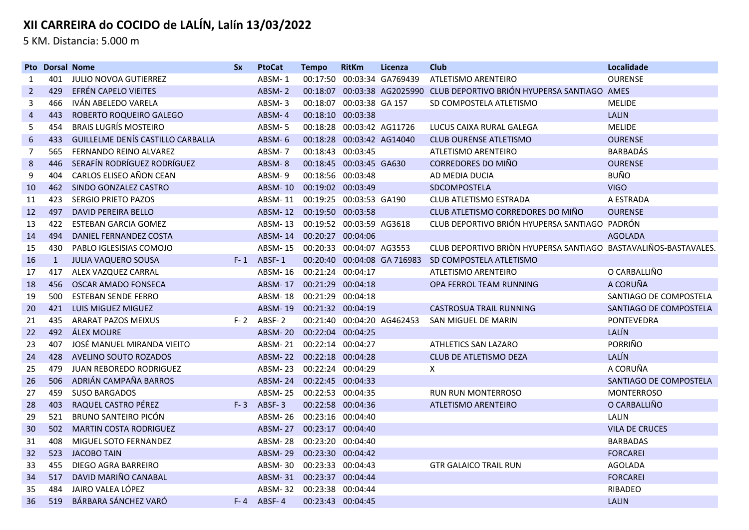5 KM. Distancia: 5.000 m

|                | <b>Pto Dorsal Nome</b> |                                   | <b>Sx</b> | <b>PtoCat</b>             | <b>Tempo</b>             | <b>RitKm</b>              | Licenza                    | <b>Club</b>                                                     | Localidade             |
|----------------|------------------------|-----------------------------------|-----------|---------------------------|--------------------------|---------------------------|----------------------------|-----------------------------------------------------------------|------------------------|
| 1              | 401                    | JULIO NOVOA GUTIERREZ             |           | ABSM-1                    |                          |                           | 00:17:50 00:03:34 GA769439 | ATLETISMO ARENTEIRO                                             | <b>OURENSE</b>         |
| $\overline{2}$ | 429                    | EFRÉN CAPELO VIEITES              |           | ABSM-2                    | 00:18:07                 |                           |                            | 00:03:38 AG2025990 CLUB DEPORTIVO BRIÓN HYUPERSA SANTIAGO AMES  |                        |
| 3              | 466                    | IVÁN ABELEDO VARELA               |           | ABSM-3                    | 00:18:07                 | 00:03:38 GA 157           |                            | SD COMPOSTELA ATLETISMO                                         | <b>MELIDE</b>          |
| $\overline{4}$ | 443                    | ROBERTO ROQUEIRO GALEGO           |           | ABSM-4                    | 00:18:10 00:03:38        |                           |                            |                                                                 | <b>LALIN</b>           |
| 5              | 454                    | <b>BRAIS LUGRÍS MOSTEIRO</b>      |           | ABSM-5                    |                          | 00:18:28 00:03:42 AG11726 |                            | LUCUS CAIXA RURAL GALEGA                                        | <b>MELIDE</b>          |
| 6              | 433                    | GUILLELME DENÍS CASTILLO CARBALLA |           | ABSM-6                    |                          | 00:18:28 00:03:42 AG14040 |                            | <b>CLUB OURENSE ATLETISMO</b>                                   | <b>OURENSE</b>         |
| 7              | 565                    | FERNANDO REINO ALVAREZ            |           | ABSM-7                    | 00:18:43 00:03:45        |                           |                            | ATLETISMO ARENTEIRO                                             | <b>BARBADÁS</b>        |
| 8              | 446                    | SERAFÍN RODRÍGUEZ RODRÍGUEZ       |           | ABSM-8                    |                          | 00:18:45 00:03:45 GA630   |                            | <b>CORREDORES DO MIÑO</b>                                       | <b>OURENSE</b>         |
| 9              | 404                    | CARLOS ELISEO AÑON CEAN           |           | ABSM-9                    | 00:18:56 00:03:48        |                           |                            | AD MEDIA DUCIA                                                  | <b>BUÑO</b>            |
| 10             | 462                    | SINDO GONZALEZ CASTRO             |           | <b>ABSM-10</b>            | 00:19:02 00:03:49        |                           |                            | SDCOMPOSTELA                                                    | <b>VIGO</b>            |
| 11             | 423                    | SERGIO PRIETO PAZOS               |           | ABSM-11                   | 00:19:25 00:03:53 GA190  |                           |                            | <b>CLUB ATLETISMO ESTRADA</b>                                   | A ESTRADA              |
| 12             | 497                    | <b>DAVID PEREIRA BELLO</b>        |           | ABSM-12                   | 00:19:50 00:03:58        |                           |                            | CLUB ATLETISMO CORREDORES DO MIÑO                               | <b>OURENSE</b>         |
| 13             | 422                    | <b>ESTEBAN GARCIA GOMEZ</b>       |           | ABSM-13                   | 00:19:52 00:03:59 AG3618 |                           |                            | CLUB DEPORTIVO BRIÓN HYUPERSA SANTIAGO PADRÓN                   |                        |
| 14             | 494                    | DANIEL FERNANDEZ COSTA            |           | ABSM-14                   | 00:20:27                 | 00:04:06                  |                            |                                                                 | <b>AGOLADA</b>         |
| 15             | 430                    | PABLO IGLESISIAS COMOJO           |           | ABSM-15                   | 00:20:33 00:04:07 AG3553 |                           |                            | CLUB DEPORTIVO BRIÒN HYUPERSA SANTIAGO BASTAVALIÑOS-BASTAVALES. |                        |
| 16             | $\mathbf{1}$           | <b>JULIA VAQUERO SOUSA</b>        |           | F-1 ABSF-1                | 00:20:40                 |                           | 00:04:08 GA 716983         | SD COMPOSTELA ATLETISMO                                         |                        |
| 17             | 417                    | ALEX VAZQUEZ CARRAL               |           | ABSM-16                   | 00:21:24 00:04:17        |                           |                            | ATLETISMO ARENTEIRO                                             | O CARBALLIÑO           |
| 18             | 456                    | OSCAR AMADO FONSECA               |           | ABSM-17                   | 00:21:29                 | 00:04:18                  |                            | OPA FERROL TEAM RUNNING                                         | A CORUÑA               |
| 19             | 500                    | <b>ESTEBAN SENDE FERRO</b>        |           | ABSM-18                   | 00:21:29 00:04:18        |                           |                            |                                                                 | SANTIAGO DE COMPOSTELA |
| 20             | 421                    | LUIS MIGUEZ MIGUEZ                |           | <b>ABSM-19</b>            | 00:21:32 00:04:19        |                           |                            | CASTROSUA TRAIL RUNNING                                         | SANTIAGO DE COMPOSTELA |
| 21             | 435                    | <b>ARARAT PAZOS MEIXUS</b>        |           | $F - 2$ ABSF-2            |                          |                           | 00:21:40 00:04:20 AG462453 | SAN MIGUEL DE MARIN                                             | <b>PONTEVEDRA</b>      |
| 22             | 492                    | <b>ÁLEX MOURE</b>                 |           | <b>ABSM-20</b>            | 00:22:04 00:04:25        |                           |                            |                                                                 | LALÍN                  |
| 23             | 407                    | JOSÉ MANUEL MIRANDA VIEITO        |           | ABSM-21 00:22:14 00:04:27 |                          |                           |                            | ATHLETICS SAN LAZARO                                            | PORRIÑO                |
| 24             | 428                    | AVELINO SOUTO ROZADOS             |           | ABSM-22                   | 00:22:18 00:04:28        |                           |                            | <b>CLUB DE ATLETISMO DEZA</b>                                   | LALÍN                  |
| 25             | 479                    | <b>JUAN REBOREDO RODRIGUEZ</b>    |           | ABSM-23                   | 00:22:24 00:04:29        |                           |                            | X                                                               | A CORUÑA               |
| 26             | 506                    | ADRIÁN CAMPAÑA BARROS             |           | ABSM-24                   | 00:22:45 00:04:33        |                           |                            |                                                                 | SANTIAGO DE COMPOSTELA |
| 27             | 459                    | <b>SUSO BARGADOS</b>              |           | ABSM-25                   | 00:22:53 00:04:35        |                           |                            | <b>RUN RUN MONTERROSO</b>                                       | <b>MONTERROSO</b>      |
| 28             | 403                    | RAQUEL CASTRO PÉREZ               | $F - 3$   | ABSF-3                    |                          | 00:22:58 00:04:36         |                            | ATLETISMO ARENTEIRO                                             | O CARBALLIÑO           |
| 29             | 521                    | <b>BRUNO SANTEIRO PICÓN</b>       |           | ABSM-26                   | 00:23:16 00:04:40        |                           |                            |                                                                 | <b>LALIN</b>           |
| 30             | 502                    | <b>MARTIN COSTA RODRIGUEZ</b>     |           | ABSM-27                   | 00:23:17 00:04:40        |                           |                            |                                                                 | <b>VILA DE CRUCES</b>  |
| 31             | 408                    | MIGUEL SOTO FERNANDEZ             |           | ABSM-28                   | 00:23:20 00:04:40        |                           |                            |                                                                 | <b>BARBADAS</b>        |
| 32             | 523                    | <b>JACOBO TAIN</b>                |           | ABSM-29                   | 00:23:30 00:04:42        |                           |                            |                                                                 | <b>FORCAREI</b>        |
| 33             | 455                    | DIEGO AGRA BARREIRO               |           | ABSM-30                   | 00:23:33 00:04:43        |                           |                            | <b>GTR GALAICO TRAIL RUN</b>                                    | <b>AGOLADA</b>         |
| 34             | 517                    | DAVID MARIÑO CANABAL              |           | ABSM-31                   | 00:23:37 00:04:44        |                           |                            |                                                                 | <b>FORCAREI</b>        |
| 35             | 484                    | JAIRO VALEA LÓPEZ                 |           | ABSM-32                   | 00:23:38 00:04:44        |                           |                            |                                                                 | RIBADEO                |
| 36             | 519                    | BÁRBARA SÁNCHEZ VARÓ              |           | $F - 4$ ABSF-4            | 00:23:43 00:04:45        |                           |                            |                                                                 | <b>LALIN</b>           |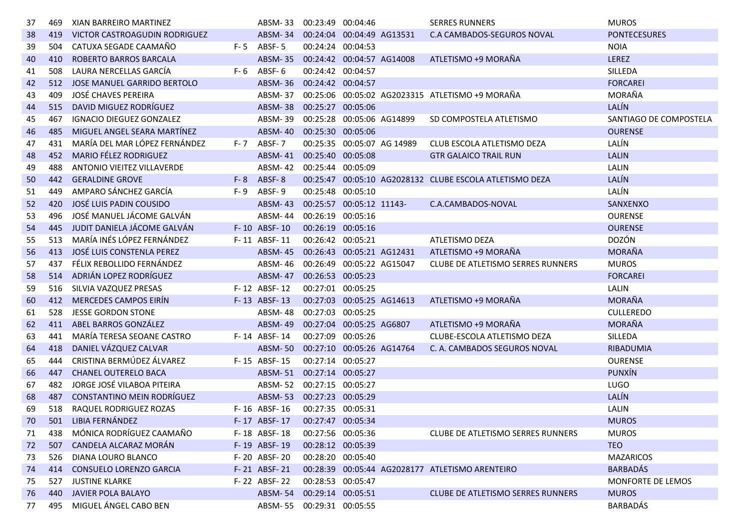| 37 | 469 | XIAN BARREIRO MARTINEZ          |     | ABSM-33                   | 00:23:49 00:04:46         |                  |                            | <b>SERRES RUNNERS</b>                                   | <b>MUROS</b>           |
|----|-----|---------------------------------|-----|---------------------------|---------------------------|------------------|----------------------------|---------------------------------------------------------|------------------------|
| 38 | 419 | VICTOR CASTROAGUDIN RODRIGUEZ   |     | ABSM-34                   | 00:24:04 00:04:49 AG13531 |                  |                            | C.A CAMBADOS-SEGUROS NOVAL                              | <b>PONTECESURES</b>    |
| 39 | 504 | CATUXA SEGADE CAAMAÑO           |     | $F - 5$ ABSF-5            | 00:24:24 00:04:53         |                  |                            |                                                         | <b>NOIA</b>            |
| 40 | 410 | ROBERTO BARROS BARCALA          |     | <b>ABSM-35</b>            | 00:24:42 00:04:57 AG14008 |                  |                            | ATLETISMO +9 MORAÑA                                     | <b>LEREZ</b>           |
| 41 | 508 | LAURA NERCELLAS GARCÍA          |     | $F-6$ ABSF-6              | 00:24:42 00:04:57         |                  |                            |                                                         | SILLEDA                |
| 42 | 512 | JOSE MANUEL GARRIDO BERTOLO     |     | <b>ABSM-36</b>            | 00:24:42 00:04:57         |                  |                            |                                                         | <b>FORCAREI</b>        |
| 43 | 409 | <b>JOSÉ CHAVES PEREIRA</b>      |     | ABSM-37                   |                           |                  |                            | 00:25:06 00:05:02 AG2023315 ATLETISMO +9 MORAÑA         | MORAÑA                 |
| 44 | 515 | DAVID MIGUEZ RODRÍGUEZ          |     | ABSM-38                   | 00:25:27 00:05:06         |                  |                            |                                                         | LALÍN                  |
| 45 | 467 | <b>IGNACIO DIEGUEZ GONZALEZ</b> |     | ABSM-39                   | 00:25:28 00:05:06 AG14899 |                  |                            | SD COMPOSTELA ATLETISMO                                 | SANTIAGO DE COMPOSTELA |
| 46 | 485 | MIGUEL ANGEL SEARA MARTÍNEZ     |     | <b>ABSM-40</b>            | 00:25:30 00:05:06         |                  |                            |                                                         | <b>OURENSE</b>         |
| 47 | 431 | MARÍA DEL MAR LÓPEZ FERNÁNDEZ   |     | F-7 ABSF-7                |                           |                  | 00:25:35 00:05:07 AG 14989 | CLUB ESCOLA ATLETISMO DEZA                              | LALÍN                  |
| 48 | 452 | <b>MARIO FÉLEZ RODRIGUEZ</b>    |     | ABSM-41 00:25:40 00:05:08 |                           |                  |                            | <b>GTR GALAICO TRAIL RUN</b>                            | <b>LALIN</b>           |
| 49 | 488 | ANTONIO VIEITEZ VILLAVERDE      |     | ABSM-42                   | 00:25:44 00:05:09         |                  |                            |                                                         | LALIN                  |
| 50 | 442 | <b>GERALDINE GROVE</b>          |     | $F - 8$ ABSF-8            |                           |                  |                            | 00:25:47 00:05:10 AG2028132 CLUBE ESCOLA ATLETISMO DEZA | LALÍN                  |
| 51 | 449 | AMPARO SÁNCHEZ GARCÍA           | F-9 | ABSF-9                    | 00:25:48 00:05:10         |                  |                            |                                                         | LALÍN                  |
| 52 | 420 | JOSÉ LUIS PADIN COUSIDO         |     | <b>ABSM-43</b>            | 00:25:57 00:05:12 11143-  |                  |                            | C.A.CAMBADOS-NOVAL                                      | SANXENXO               |
| 53 | 496 | JOSÉ MANUEL JÁCOME GALVÁN       |     | <b>ABSM-44</b>            | 00:26:19 00:05:16         |                  |                            |                                                         | <b>OURENSE</b>         |
| 54 | 445 | JUDIT DANIELA JÁCOME GALVÁN     |     | F-10 ABSF-10              | 00:26:19 00:05:16         |                  |                            |                                                         | <b>OURENSE</b>         |
| 55 | 513 | MARÍA INÉS LÓPEZ FERNÁNDEZ      |     | F-11 ABSF-11              | 00:26:42 00:05:21         |                  |                            | ATLETISMO DEZA                                          | DOZÓN                  |
| 56 | 413 | JOSÉ LUIS CONSTENLA PEREZ       |     | <b>ABSM-45</b>            | 00:26:43 00:05:21 AG12431 |                  |                            | ATLETISMO +9 MORAÑA                                     | MORAÑA                 |
| 57 | 437 | FÉLIX REBOLLIDO FERNÁNDEZ       |     | ABSM-46                   | 00:26:49                  | 00:05:22 AG15047 |                            | <b>CLUBE DE ATLETISMO SERRES RUNNERS</b>                | <b>MUROS</b>           |
| 58 | 514 | ADRIÁN LOPEZ RODRÍGUEZ          |     | <b>ABSM-47</b>            | 00:26:53 00:05:23         |                  |                            |                                                         | <b>FORCAREI</b>        |
| 59 | 516 | SILVIA VAZQUEZ PRESAS           |     | F-12 ABSF-12              | 00:27:01 00:05:25         |                  |                            |                                                         | LALIN                  |
| 60 | 412 | <b>MERCEDES CAMPOS EIRÍN</b>    |     | F-13 ABSF-13              | 00:27:03 00:05:25 AG14613 |                  |                            | ATLETISMO +9 MORAÑA                                     | <b>MORAÑA</b>          |
| 61 | 528 | <b>JESSE GORDON STONE</b>       |     | <b>ABSM-48</b>            | 00:27:03 00:05:25         |                  |                            |                                                         | <b>CULLEREDO</b>       |
| 62 | 411 | ABEL BARROS GONZÁLEZ            |     | <b>ABSM-49</b>            | 00:27:04 00:05:25 AG6807  |                  |                            | ATLETISMO +9 MORAÑA                                     | MORAÑA                 |
| 63 | 441 | MARÍA TERESA SEOANE CASTRO      |     | F-14 ABSF-14              | 00:27:09                  | 00:05:26         |                            | CLUBE-ESCOLA ATLETISMO DEZA                             | SILLEDA                |
| 64 | 418 | DANIEL VÁZQUEZ CALVAR           |     | <b>ABSM-50</b>            | 00:27:10 00:05:26 AG14764 |                  |                            | C. A. CAMBADOS SEGUROS NOVAL                            | RIBADUMIA              |
| 65 | 444 | CRISTINA BERMÚDEZ ÁLVAREZ       |     | F-15 ABSF-15              | 00:27:14 00:05:27         |                  |                            |                                                         | <b>OURENSE</b>         |
| 66 | 447 | <b>CHANEL OUTERELO BACA</b>     |     | ABSM-51                   | 00:27:14 00:05:27         |                  |                            |                                                         | <b>PUNXÍN</b>          |
| 67 | 482 | JORGE JOSÉ VILABOA PITEIRA      |     | ABSM-52                   | 00:27:15 00:05:27         |                  |                            |                                                         | LUGO                   |
| 68 | 487 | CONSTANTINO MEIN RODRÍGUEZ      |     | <b>ABSM-53</b>            | 00:27:23 00:05:29         |                  |                            |                                                         | LALÍN                  |
| 69 | 518 | RAQUEL RODRIGUEZ ROZAS          |     | F-16 ABSF-16              | 00:27:35 00:05:31         |                  |                            |                                                         | LALIN                  |
| 70 | 501 | LIBIA FERNÁNDEZ                 |     | F-17 ABSF-17              | 00:27:47 00:05:34         |                  |                            |                                                         | <b>MUROS</b>           |
| 71 | 438 | MÓNICA RODRÍGUEZ CAAMAÑO        |     | F-18 ABSF-18              | 00:27:56 00:05:36         |                  |                            | CLUBE DE ATLETISMO SERRES RUNNERS                       | <b>MUROS</b>           |
| 72 | 507 | CANDELA ALCARAZ MORÁN           |     | F-19 ABSF-19              | 00:28:12 00:05:39         |                  |                            |                                                         | <b>TEO</b>             |
| 73 | 526 | DIANA LOURO BLANCO              |     | F-20 ABSF-20              | 00:28:20 00:05:40         |                  |                            |                                                         | <b>MAZARICOS</b>       |
| 74 | 414 | <b>CONSUELO LORENZO GARCIA</b>  |     | F-21 ABSF-21              |                           |                  |                            | 00:28:39 00:05:44 AG2028177 ATLETISMO ARENTEIRO         | <b>BARBADÁS</b>        |
| 75 | 527 | <b>JUSTINE KLARKE</b>           |     | F-22 ABSF-22              | 00:28:53 00:05:47         |                  |                            |                                                         | MONFORTE DE LEMOS      |
| 76 | 440 | JAVIER POLA BALAYO              |     | <b>ABSM-54</b>            | 00:29:14 00:05:51         |                  |                            | <b>CLUBE DE ATLETISMO SERRES RUNNERS</b>                | <b>MUROS</b>           |
| 77 | 495 | MIGUEL ÁNGEL CABO BEN           |     | ABSM-55 00:29:31 00:05:55 |                           |                  |                            |                                                         | <b>BARBADÁS</b>        |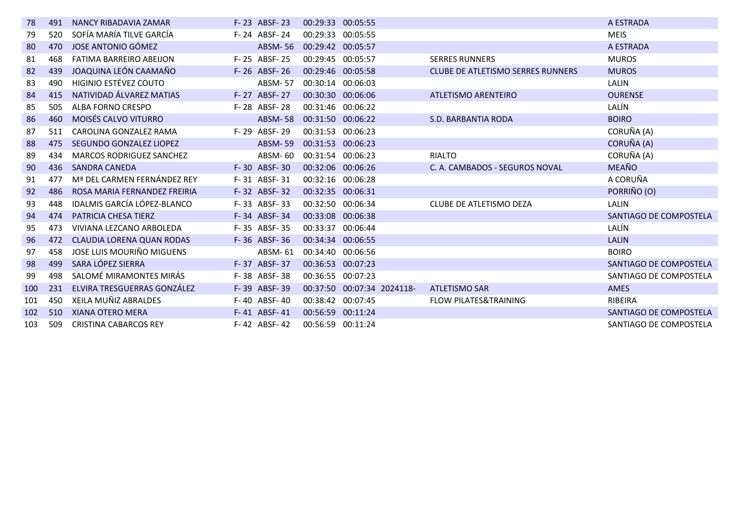| 78  | 491 | NANCY RIBADAVIA ZAMAR            | F-23 ABSF-23   | 00:29:33 00:05:55 |                            |                                          | A ESTRADA              |
|-----|-----|----------------------------------|----------------|-------------------|----------------------------|------------------------------------------|------------------------|
| 79  | 520 | SOFÍA MARÍA TILVE GARCÍA         | F-24 ABSF-24   | 00:29:33 00:05:55 |                            |                                          | <b>MEIS</b>            |
| 80  | 470 | JOSE ANTONIO GÓMEZ               | <b>ABSM-56</b> | 00:29:42 00:05:57 |                            |                                          | A ESTRADA              |
| 81  | 468 | <b>FATIMA BARREIRO ABEIJON</b>   | F-25 ABSF-25   | 00:29:45 00:05:57 |                            | <b>SERRES RUNNERS</b>                    | <b>MUROS</b>           |
| 82  | 439 | JOAQUINA LEÓN CAAMAÑO            | $F-26$ ABSF-26 | 00:29:46 00:05:58 |                            | <b>CLUBE DE ATLETISMO SERRES RUNNERS</b> | <b>MUROS</b>           |
| 83  | 490 | HIGINIO ESTÉVEZ COUTO            | <b>ABSM-57</b> | 00:30:14 00:06:03 |                            |                                          | LALIN                  |
| 84  | 415 | NATIVIDAD ÁLVAREZ MATIAS         | F-27 ABSF-27   | 00:30:30 00:06:06 |                            | ATLETISMO ARENTEIRO                      | <b>OURENSE</b>         |
| 85  | 505 | ALBA FORNO CRESPO                | F-28 ABSF-28   | 00:31:46 00:06:22 |                            |                                          | LALÍN                  |
| 86  | 460 | MOISÉS CALVO VITURRO             | <b>ABSM-58</b> | 00:31:50 00:06:22 |                            | S.D. BARBANTIA RODA                      | <b>BOIRO</b>           |
| 87  | 511 | CAROLINA GONZALEZ RAMA           | F-29 ABSF-29   | 00:31:53 00:06:23 |                            |                                          | CORUÑA (A)             |
| 88  | 475 | SEGUNDO GONZALEZ LIOPEZ          | <b>ABSM-59</b> | 00:31:53 00:06:23 |                            |                                          | CORUÑA (A)             |
| -89 | 434 | <b>MARCOS RODRIGUEZ SANCHEZ</b>  | ABSM-60        | 00:31:54 00:06:23 |                            | <b>RIALTO</b>                            | CORUÑA (A)             |
| 90  | 436 | <b>SANDRA CANEDA</b>             | F-30 ABSF-30   | 00:32:06 00:06:26 |                            | C. A. CAMBADOS - SEGUROS NOVAL           | <b>MEAÑO</b>           |
| 91  | 477 | Mª DEL CARMEN FERNÁNDEZ REY      | F-31 ABSF-31   | 00:32:16 00:06:28 |                            |                                          | A CORUÑA               |
| 92  | 486 | ROSA MARIA FERNANDEZ FREIRIA     | F-32 ABSF-32   | 00:32:35 00:06:31 |                            |                                          | PORRIÑO (O)            |
| 93  | 448 | IDALMIS GARCÍA LÓPEZ-BLANCO      | F-33 ABSF-33   | 00:32:50 00:06:34 |                            | CLUBE DE ATLETISMO DEZA                  | LALIN                  |
| 94  | 474 | <b>PATRICIA CHESA TIERZ</b>      | F-34 ABSF-34   | 00:33:08 00:06:38 |                            |                                          | SANTIAGO DE COMPOSTELA |
| 95  | 473 | VIVIANA LEZCANO ARBOLEDA         | F-35 ABSF-35   | 00:33:37 00:06:44 |                            |                                          | LALÍN                  |
| 96  | 472 | <b>CLAUDIA LORENA QUAN RODAS</b> | F-36 ABSF-36   | 00:34:34 00:06:55 |                            |                                          | <b>LALIN</b>           |
| 97  | 458 | JOSE LUIS MOURIÑO MIGUENS        | ABSM-61        | 00:34:40 00:06:56 |                            |                                          | <b>BOIRO</b>           |
| 98  | 499 | SARA LÓPEZ SIERRA                | F-37 ABSF-37   | 00:36:53 00:07:23 |                            |                                          | SANTIAGO DE COMPOSTELA |
| 99  | 498 | SALOMÉ MIRAMONTES MIRÁS          | F-38 ABSF-38   | 00:36:55 00:07:23 |                            |                                          | SANTIAGO DE COMPOSTELA |
| 100 | 231 | ELVIRA TRESGUERRAS GONZÁLEZ      | F-39 ABSF-39   |                   | 00:37:50 00:07:34 2024118- | <b>ATLETISMO SAR</b>                     | <b>AMES</b>            |
| 101 | 450 | XEILA MUÑIZ ABRALDES             | F-40 ABSF-40   | 00:38:42          | 00:07:45                   | <b>FLOW PILATES&amp;TRAINING</b>         | RIBEIRA                |
| 102 | 510 | XIANA OTERO MERA                 | F-41 ABSF-41   | 00:56:59          | 00:11:24                   |                                          | SANTIAGO DE COMPOSTELA |
| 103 | 509 | <b>CRISTINA CABARCOS REY</b>     | F-42 ABSF-42   | 00:56:59 00:11:24 |                            |                                          | SANTIAGO DE COMPOSTELA |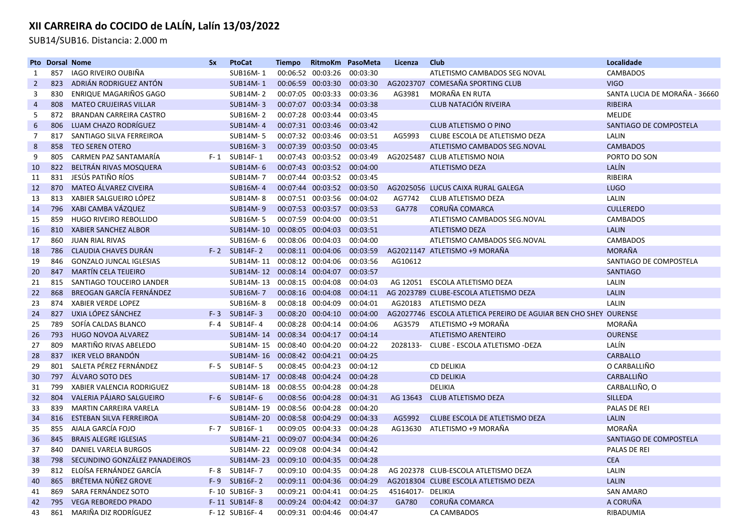SUB14/SUB16. Distancia: 2.000 m

|                | <b>Pto Dorsal Nome</b> |                                  | <b>Sx</b> | <b>PtoCat</b>    | <b>Tiempo</b> | RitmoKm           | PasoMeta | Licenza           | Club                                                             | Localidade                    |
|----------------|------------------------|----------------------------------|-----------|------------------|---------------|-------------------|----------|-------------------|------------------------------------------------------------------|-------------------------------|
| 1              | 857                    | IAGO RIVEIRO OUBIÑA              |           | SUB16M-1         |               | 00:06:52 00:03:26 | 00:03:30 |                   | ATLETISMO CAMBADOS SEG NOVAL                                     | <b>CAMBADOS</b>               |
| $\overline{2}$ | 823                    | ADRIÁN RODRIGUEZ ANTÓN           |           | <b>SUB14M-1</b>  | 00:06:59      | 00:03:30          | 00:03:30 |                   | AG2023707 COMESAÑA SPORTING CLUB                                 | <b>VIGO</b>                   |
| 3              | 830                    | ENRIQUE MAGARIÑOS GAGO           |           | SUB14M-2         | 00:07:05      | 00:03:33          | 00:03:36 | AG3981            | MORAÑA EN RUTA                                                   | SANTA LUCIA DE MORAÑA - 36660 |
| 4              | 808                    | <b>MATEO CRUJEIRAS VILLAR</b>    |           | <b>SUB14M-3</b>  |               | 00:07:07 00:03:34 | 00:03:38 |                   | <b>CLUB NATACIÓN RIVEIRA</b>                                     | <b>RIBEIRA</b>                |
| 5              | 872                    | <b>BRANDAN CARREIRA CASTRO</b>   |           | SUB16M-2         |               | 00:07:28 00:03:44 | 00:03:45 |                   |                                                                  | <b>MELIDE</b>                 |
| 6              | 806                    | LUAM CHAZO RODRÍGUEZ             |           | <b>SUB14M-4</b>  |               | 00:07:31 00:03:46 | 00:03:42 |                   | <b>CLUB ATLETISMO O PINO</b>                                     | SANTIAGO DE COMPOSTELA        |
| 7              | 817                    | SANTIAGO SILVA FERREIROA         |           | SUB14M-5         |               | 00:07:32 00:03:46 | 00:03:51 | AG5993            | CLUBE ESCOLA DE ATLETISMO DEZA                                   | LALIN                         |
| 8              | 858                    | <b>TEO SEREN OTERO</b>           |           | <b>SUB16M-3</b>  | 00:07:39      | 00:03:50          | 00:03:45 |                   | ATLETISMO CAMBADOS SEG.NOVAL                                     | <b>CAMBADOS</b>               |
| 9              | 805                    | CARMEN PAZ SANTAMARÍA            |           | F-1 SUB14F-1     |               | 00:07:43 00:03:52 | 00:03:49 |                   | AG2025487 CLUB ATLETISMO NOIA                                    | PORTO DO SON                  |
| 10             | 822                    | BELTRÁN RIVAS MOSQUERA           |           | <b>SUB14M-6</b>  |               | 00:07:43 00:03:52 | 00:04:00 |                   | <b>ATLETISMO DEZA</b>                                            | LALÍN                         |
| 11             | 831                    | JESÚS PATIÑO RÍOS                |           | SUB14M-7         |               | 00:07:44 00:03:52 | 00:03:45 |                   |                                                                  | RIBEIRA                       |
| 12             | 870                    | MATEO ÁLVAREZ CIVEIRA            |           | <b>SUB16M-4</b>  |               | 00:07:44 00:03:52 | 00:03:50 |                   | AG2025056 LUCUS CAIXA RURAL GALEGA                               | <b>LUGO</b>                   |
| 13             | 813                    | XABIER SALGUEIRO LÓPEZ           |           | SUB14M-8         |               | 00:07:51 00:03:56 | 00:04:02 | AG7742            | <b>CLUB ATLETISMO DEZA</b>                                       | LALIN                         |
| 14             | 796                    | XABI CAMBA VÁZQUEZ               |           | <b>SUB14M-9</b>  |               | 00:07:53 00:03:57 | 00:03:53 | GA778             | CORUÑA COMARCA                                                   | <b>CULLEREDO</b>              |
| 15             | 859                    | HUGO RIVEIRO REBOLLIDO           |           | <b>SUB16M-5</b>  | 00:07:59      | 00:04:00          | 00:03:51 |                   | ATLETISMO CAMBADOS SEG.NOVAL                                     | CAMBADOS                      |
| 16             | 810                    | <b>XABIER SANCHEZ ALBOR</b>      |           | <b>SUB14M-10</b> | 00:08:05      | 00:04:03          | 00:03:51 |                   | <b>ATLETISMO DEZA</b>                                            | <b>LALIN</b>                  |
| 17             | 860                    | <b>JUAN RIAL RIVAS</b>           |           | SUB16M-6         |               | 00:08:06 00:04:03 | 00:04:00 |                   | ATLETISMO CAMBADOS SEG.NOVAL                                     | <b>CAMBADOS</b>               |
| 18             | 786                    | <b>CLAUDIA CHAVES DURAN</b>      |           | $F-2$ SUB14F-2   |               | 00:08:11 00:04:06 | 00:03:59 |                   | AG2021147 ATLETISMO +9 MORAÑA                                    | MORAÑA                        |
| 19             | 846                    | <b>GONZALO JUNCAL IGLESIAS</b>   |           | SUB14M-11        |               | 00:08:12 00:04:06 | 00:03:56 | AG10612           |                                                                  | SANTIAGO DE COMPOSTELA        |
| 20             | 847                    | <b>MARTÍN CELA TEIJEIRO</b>      |           | SUB14M-12        |               | 00:08:14 00:04:07 | 00:03:57 |                   |                                                                  | <b>SANTIAGO</b>               |
| 21             | 815                    | SANTIAGO TOUCEIRO LANDER         |           | SUB14M-13        |               | 00:08:15 00:04:08 | 00:04:03 |                   | AG 12051 ESCOLA ATLETISMO DEZA                                   | LALIN                         |
| 22             | 868                    | BREOGAN GARCÍA FERNÁNDEZ         |           | <b>SUB16M-7</b>  |               | 00:08:16 00:04:08 | 00:04:11 |                   | AG 2023789 CLUBE-ESCOLA ATLETISMO DEZA                           | <b>LALIN</b>                  |
| 23             | 874                    | <b>XABIER VERDE LOPEZ</b>        |           | <b>SUB16M-8</b>  |               | 00:08:18 00:04:09 | 00:04:01 | AG20183           | ATLETISMO DEZA                                                   | LALIN                         |
| 24             | 827                    | UXIA LÓPEZ SÁNCHEZ               |           | $F-3$ SUB14F-3   |               | 00:08:20 00:04:10 | 00:04:00 |                   | AG2027746 ESCOLA ATLETICA PEREIRO DE AGUIAR BEN CHO SHEY OURENSE |                               |
| 25             | 789                    | SOFÍA CALDAS BLANCO              |           | F-4 SUB14F-4     | 00:08:28      | 00:04:14          | 00:04:06 | AG3579            | ATLETISMO +9 MORAÑA                                              | MORAÑA                        |
| 26             | 793                    | <b>HUGO NOVOA ALVAREZ</b>        |           | <b>SUB14M-14</b> |               | 00:08:34 00:04:17 | 00:04:14 |                   | <b>ATLETISMO ARENTEIRO</b>                                       | <b>OURENSE</b>                |
| 27             | 809                    | MARTIÑO RIVAS ABELEDO            |           | SUB14M-15        |               | 00:08:40 00:04:20 | 00:04:22 | 2028133-          | CLUBE - ESCOLA ATLETISMO -DEZA                                   | LALÍN                         |
| 28             | 837                    | IKER VELO BRANDÓN                |           | <b>SUB14M-16</b> |               | 00:08:42 00:04:21 | 00:04:25 |                   |                                                                  | <b>CARBALLO</b>               |
| 29             | 801                    | SALETA PÉREZ FERNÁNDEZ           |           | F-5 SUB14F-5     |               | 00:08:45 00:04:23 | 00:04:12 |                   | <b>CD DELIKIA</b>                                                | O CARBALLIÑO                  |
| 30             | 797                    | ÁLVARO SOTO DES                  |           | SUB14M-17        |               | 00:08:48 00:04:24 | 00:04:28 |                   | <b>CD DELIKIA</b>                                                | CARBALLIÑO                    |
| 31             | 799                    | <b>XABIER VALENCIA RODRIGUEZ</b> |           | SUB14M-18        |               | 00:08:55 00:04:28 | 00:04:28 |                   | <b>DELIKIA</b>                                                   | CARBALLIÑO, O                 |
| 32             | 804                    | VALERIA PÁJARO SALGUEIRO         |           | F-6 SUB14F-6     |               | 00:08:56 00:04:28 | 00:04:31 | AG 13643          | CLUB ATLETISMO DEZA                                              | <b>SILLEDA</b>                |
| 33             | 839                    | <b>MARTIN CARREIRA VARELA</b>    |           | SUB14M-19        |               | 00:08:56 00:04:28 | 00:04:20 |                   |                                                                  | <b>PALAS DE REI</b>           |
| 34             | 816                    | ESTEBAN SILVA FERREIROA          |           | <b>SUB14M-20</b> |               | 00:08:58 00:04:29 | 00:04:33 | AG5992            | CLUBE ESCOLA DE ATLETISMO DEZA                                   | <b>LALIN</b>                  |
| 35             | 855                    | AIALA GARCÍA FOJO                |           | F-7 SUB16F-1     |               | 00:09:05 00:04:33 | 00:04:28 | AG13630           | ATLETISMO +9 MORAÑA                                              | MORAÑA                        |
| 36             | 845                    | <b>BRAIS ALEGRE IGLESIAS</b>     |           | <b>SUB14M-21</b> | 00:09:07      | 00:04:34          | 00:04:26 |                   |                                                                  | SANTIAGO DE COMPOSTELA        |
| 37             | 840                    | <b>DANIEL VARELA BURGOS</b>      |           | SUB14M-22        |               | 00:09:08 00:04:34 | 00:04:42 |                   |                                                                  | PALAS DE REI                  |
| 38             | 798                    | SECUNDINO GONZÁLEZ PANADEIROS    |           | <b>SUB14M-23</b> | 00:09:10      | 00:04:35          | 00:04:28 |                   |                                                                  | <b>CEA</b>                    |
| 39             | 812                    | ELOÍSA FERNÁNDEZ GARCÍA          | F- 8      | SUB14F-7         |               | 00:09:10 00:04:35 | 00:04:28 |                   | AG 202378 CLUB-ESCOLA ATLETISMO DEZA                             | LALIN                         |
| 40             | 865                    | BRÉTEMA NÚÑEZ GROVE              |           | F-9 SUB16F-2     |               | 00:09:11 00:04:36 | 00:04:29 |                   | AG2018304 CLUBE ESCOLA ATLETISMO DEZA                            | <b>LALIN</b>                  |
| 41             | 869                    | SARA FERNÁNDEZ SOTO              |           | F-10 SUB16F-3    |               | 00:09:21 00:04:41 | 00:04:25 | 45164017- DELIKIA |                                                                  | <b>SAN AMARO</b>              |
| 42             | 795                    | <b>VEGA REBOREDO PRADO</b>       |           | F-11 SUB14F-8    |               | 00:09:24 00:04:42 | 00:04:37 | GA780             | CORUÑA COMARCA                                                   | A CORUÑA                      |
| 43             | 861                    | MARIÑA DIZ RODRÍGUEZ             |           | F-12 SUB16F-4    |               | 00:09:31 00:04:46 | 00:04:47 |                   | CA CAMBADOS                                                      | RIBADUMIA                     |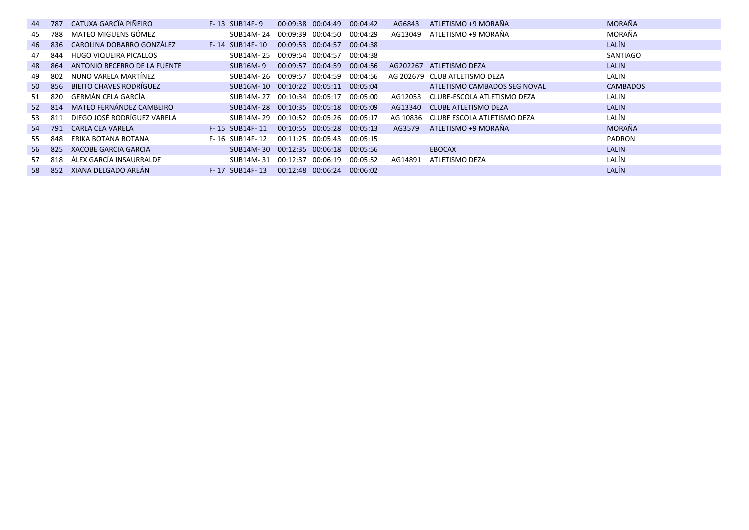|     |                                                                                                        | $F-13$ SUB14F-9                                                                                                                                                                                                                                                                                  |  |                                                                                                                                                                                                    | AG6843                                                                                                                                                                                                                                                                                                                         |                              | <b>MORAÑA</b>                                                                                                                                                                                                                                                             |
|-----|--------------------------------------------------------------------------------------------------------|--------------------------------------------------------------------------------------------------------------------------------------------------------------------------------------------------------------------------------------------------------------------------------------------------|--|----------------------------------------------------------------------------------------------------------------------------------------------------------------------------------------------------|--------------------------------------------------------------------------------------------------------------------------------------------------------------------------------------------------------------------------------------------------------------------------------------------------------------------------------|------------------------------|---------------------------------------------------------------------------------------------------------------------------------------------------------------------------------------------------------------------------------------------------------------------------|
| 788 |                                                                                                        | SUB14M-24                                                                                                                                                                                                                                                                                        |  |                                                                                                                                                                                                    |                                                                                                                                                                                                                                                                                                                                |                              | MORAÑA                                                                                                                                                                                                                                                                    |
|     |                                                                                                        | F-14 SUB14F-10                                                                                                                                                                                                                                                                                   |  |                                                                                                                                                                                                    |                                                                                                                                                                                                                                                                                                                                |                              | LALÍN                                                                                                                                                                                                                                                                     |
| 844 |                                                                                                        | SUB14M-25                                                                                                                                                                                                                                                                                        |  | 00:04:38                                                                                                                                                                                           |                                                                                                                                                                                                                                                                                                                                |                              | SANTIAGO                                                                                                                                                                                                                                                                  |
|     | ANTONIO BECERRO DE LA FUENTE                                                                           | SUB16M-9                                                                                                                                                                                                                                                                                         |  |                                                                                                                                                                                                    |                                                                                                                                                                                                                                                                                                                                |                              | <b>LALIN</b>                                                                                                                                                                                                                                                              |
|     |                                                                                                        |                                                                                                                                                                                                                                                                                                  |  |                                                                                                                                                                                                    |                                                                                                                                                                                                                                                                                                                                |                              | LALIN                                                                                                                                                                                                                                                                     |
|     |                                                                                                        |                                                                                                                                                                                                                                                                                                  |  |                                                                                                                                                                                                    |                                                                                                                                                                                                                                                                                                                                | ATLETISMO CAMBADOS SEG NOVAL | <b>CAMBADOS</b>                                                                                                                                                                                                                                                           |
|     |                                                                                                        |                                                                                                                                                                                                                                                                                                  |  |                                                                                                                                                                                                    |                                                                                                                                                                                                                                                                                                                                |                              | LALIN                                                                                                                                                                                                                                                                     |
|     |                                                                                                        |                                                                                                                                                                                                                                                                                                  |  |                                                                                                                                                                                                    |                                                                                                                                                                                                                                                                                                                                |                              | <b>LALIN</b>                                                                                                                                                                                                                                                              |
|     |                                                                                                        |                                                                                                                                                                                                                                                                                                  |  |                                                                                                                                                                                                    |                                                                                                                                                                                                                                                                                                                                |                              | LALÍN                                                                                                                                                                                                                                                                     |
|     |                                                                                                        | F-15 SUB14F-11                                                                                                                                                                                                                                                                                   |  |                                                                                                                                                                                                    | AG3579                                                                                                                                                                                                                                                                                                                         |                              | <b>MORAÑA</b>                                                                                                                                                                                                                                                             |
| 848 | ERIKA BOTANA BOTANA                                                                                    | F-16 SUB14F-12                                                                                                                                                                                                                                                                                   |  | 00:05:15                                                                                                                                                                                           |                                                                                                                                                                                                                                                                                                                                |                              | <b>PADRON</b>                                                                                                                                                                                                                                                             |
|     | XACOBE GARCIA GARCIA                                                                                   |                                                                                                                                                                                                                                                                                                  |  |                                                                                                                                                                                                    |                                                                                                                                                                                                                                                                                                                                | <b>EBOCAX</b>                | <b>LALIN</b>                                                                                                                                                                                                                                                              |
|     | ÁLEX GARCÍA INSAURRALDE                                                                                |                                                                                                                                                                                                                                                                                                  |  |                                                                                                                                                                                                    | AG14891                                                                                                                                                                                                                                                                                                                        |                              | LALÍN                                                                                                                                                                                                                                                                     |
|     |                                                                                                        | F-17 SUB14F-13                                                                                                                                                                                                                                                                                   |  |                                                                                                                                                                                                    |                                                                                                                                                                                                                                                                                                                                |                              | LALÍN                                                                                                                                                                                                                                                                     |
|     | 44 787<br>46 836<br>- 864<br>802<br>51 820<br>52 814<br>53 811<br>54 791<br>56 825<br>57<br>818<br>852 | CATUXA GARCÏA PIÑEIRO<br>MATEO MIGUENS GÓMEZ<br>CAROLINA DOBARRO GONZÁLEZ<br>HUGO VIQUEIRA PICALLOS<br>NUNO VARELA MARTÍNEZ<br>50 856 BIEITO CHAVES RODRÍGUEZ<br>GERMÁN CELA GARCÍA<br>MATEO FERNÁNDEZ CAMBEIRO<br>DIEGO JOSÉ RODRÍGUEZ VARELA<br><b>CARLA CEA VARELA</b><br>XIANA DELGADO AREÁN |  | 00:09:38 00:04:49<br>00:09:53 00:04:57<br>00:09:54 00:04:57<br>00:09:57 00:04:59<br>SUB14M-26 00:09:57 00:04:59<br>SUB14M-27 00:10:34 00:05:17<br>00:11:25 00:05:43<br>SUB14M-31 00:12:37 00:06:19 | 00:04:42<br>00:09:39 00:04:50 00:04:29<br>00:04:38<br>00:04:56<br>00:04:56<br>SUB16M-10 00:10:22 00:05:11 00:05:04<br>00:05:00<br>SUB14M-28 00:10:35 00:05:18 00:05:09<br>SUB14M-29 00:10:52 00:05:26 00:05:17<br>00:10:55 00:05:28 00:05:13<br>SUB14M-30 00:12:35 00:06:18 00:05:56<br>00:05:52<br>00:12:48 00:06:24 00:06:02 |                              | ATLETISMO +9 MORAÑA<br>AG13049 ATLETISMO +9 MORAÑA<br>AG202267 ATLETISMO DEZA<br>AG 202679 CLUB ATLETISMO DEZA<br>AG12053<br>CLUBE-ESCOLA ATLETISMO DEZA<br>AG13340 CLUBE ATLETISMO DEZA<br>AG 10836 CLUBE ESCOLA ATLETISMO DEZA<br>ATLETISMO +9 MORAÑA<br>ATLETISMO DEZA |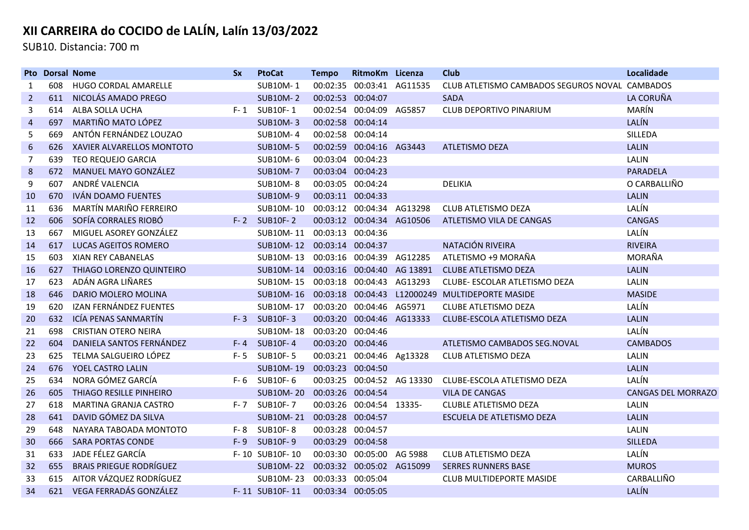SUB10. Distancia: 700 m

|                | <b>Pto Dorsal Nome</b> |                                | <b>Sx</b> | <b>PtoCat</b>                        | <b>Tempo</b>      | RitmoKm Licenza            | Club                                                          | Localidade                |
|----------------|------------------------|--------------------------------|-----------|--------------------------------------|-------------------|----------------------------|---------------------------------------------------------------|---------------------------|
| 1              | 608                    | HUGO CORDAL AMARELLE           |           | <b>SUB10M-1</b>                      | 00:02:35          | 00:03:41 AG11535           | CLUB ATLETISMO CAMBADOS SEGUROS NOVAL CAMBADOS                |                           |
| $\overline{2}$ | 611                    | NICOLÁS AMADO PREGO            |           | <b>SUB10M-2</b>                      | 00:02:53 00:04:07 |                            | <b>SADA</b>                                                   | LA CORUÑA                 |
| 3              | 614                    | ALBA SOLLA UCHA                |           | F-1 SUB10F-1                         |                   | 00:02:54 00:04:09 AG5857   | CLUB DEPORTIVO PINARIUM                                       | MARÍN                     |
| 4              | 697                    | MARTIÑO MATO LÓPEZ             |           | <b>SUB10M-3</b>                      | 00:02:58 00:04:14 |                            |                                                               | LALÍN                     |
| 5              | 669                    | ANTÓN FERNÁNDEZ LOUZAO         |           | <b>SUB10M-4</b>                      | 00:02:58 00:04:14 |                            |                                                               | SILLEDA                   |
| 6              | 626                    | XAVIER ALVARELLOS MONTOTO      |           | <b>SUB10M-5</b>                      |                   | 00:02:59 00:04:16 AG3443   | ATLETISMO DEZA                                                | <b>LALIN</b>              |
| 7              | 639                    | <b>TEO REQUEJO GARCIA</b>      |           | SUB10M-6                             | 00:03:04 00:04:23 |                            |                                                               | LALIN                     |
| 8              | 672                    | <b>MANUEL MAYO GONZÁLEZ</b>    |           | <b>SUB10M-7</b>                      | 00:03:04 00:04:23 |                            |                                                               | <b>PARADELA</b>           |
| 9              | 607                    | ANDRÉ VALENCIA                 |           | <b>SUB10M-8</b>                      |                   | 00:03:05 00:04:24          | <b>DELIKIA</b>                                                | O CARBALLIÑO              |
| 10             | 670                    | IVÁN DOAMO FUENTES             |           | <b>SUB10M-9</b>                      |                   | 00:03:11 00:04:33          |                                                               | <b>LALIN</b>              |
| 11             | 636                    | MARTÍN MARIÑO FERREIRO         |           | SUB10M-10 00:03:12 00:04:34 AG13298  |                   |                            | <b>CLUB ATLETISMO DEZA</b>                                    | LALÍN                     |
| 12             | 606                    | SOFÍA CORRALES RIOBÓ           |           | F-2 SUB10F-2                         |                   | 00:03:12 00:04:34 AG10506  | ATLETISMO VILA DE CANGAS                                      | <b>CANGAS</b>             |
| 13             | 667                    | MIGUEL ASOREY GONZÁLEZ         |           | SUB10M-11 00:03:13 00:04:36          |                   |                            |                                                               | LALÍN                     |
| 14             | 617                    | <b>LUCAS AGEITOS ROMERO</b>    |           | SUB10M-12 00:03:14 00:04:37          |                   |                            | NATACIÓN RIVEIRA                                              | <b>RIVEIRA</b>            |
| 15             | 603                    | <b>XIAN REY CABANELAS</b>      |           | SUB10M-13 00:03:16 00:04:39 AG12285  |                   |                            | ATLETISMO +9 MORAÑA                                           | MORAÑA                    |
| 16             | 627                    | THIAGO LORENZO QUINTEIRO       |           | SUB10M-14 00:03:16 00:04:40 AG 13891 |                   |                            | <b>CLUBE ATLETISMO DEZA</b>                                   | <b>LALIN</b>              |
| 17             | 623                    | ADÁN AGRA LIÑARES              |           | SUB10M-15                            |                   | 00:03:18 00:04:43 AG13293  | CLUBE- ESCOLAR ATLETISMO DEZA                                 | LALIN                     |
| 18             | 646                    | DARIO MOLERO MOLINA            |           |                                      |                   |                            | SUB10M-16  00:03:18  00:04:43  L12000249  MULTIDEPORTE MASIDE | <b>MASIDE</b>             |
| 19             | 620                    | IZAN FERNÁNDEZ FUENTES         |           | SUB10M-17                            |                   | 00:03:20 00:04:46 AG5971   | CLUBE ATLETISMO DEZA                                          | LALÍN                     |
| 20             | 632                    | ICÍA PENAS SANMARTÍN           |           | F-3 SUB10F-3                         |                   | 00:03:20 00:04:46 AG13333  | CLUBE-ESCOLA ATLETISMO DEZA                                   | <b>LALIN</b>              |
| 21             | 698                    | <b>CRISTIAN OTERO NEIRA</b>    |           | <b>SUB10M-18</b>                     | 00:03:20 00:04:46 |                            |                                                               | LALÍN                     |
| 22             | 604                    | DANIELA SANTOS FERNÁNDEZ       |           | F-4 SUB10F-4                         |                   | 00:03:20 00:04:46          | ATLETISMO CAMBADOS SEG.NOVAL                                  | <b>CAMBADOS</b>           |
| 23             | 625                    | TELMA SALGUEIRO LÓPEZ          | $F - 5$   | <b>SUB10F-5</b>                      |                   | 00:03:21 00:04:46 Ag13328  | CLUB ATLETISMO DEZA                                           | <b>LALIN</b>              |
| 24             | 676                    | YOEL CASTRO LALIN              |           | <b>SUB10M-19</b>                     | 00:03:23 00:04:50 |                            |                                                               | <b>LALIN</b>              |
| 25             | 634                    | NORA GÓMEZ GARCÍA              |           | F-6 SUB10F-6                         |                   | 00:03:25 00:04:52 AG 13330 | CLUBE-ESCOLA ATLETISMO DEZA                                   | LALÍN                     |
| 26             | 605                    | THIAGO RESILLE PINHEIRO        |           | SUB10M-20 00:03:26 00:04:54          |                   |                            | <b>VILA DE CANGAS</b>                                         | <b>CANGAS DEL MORRAZO</b> |
| 27             | 618                    | MARTINA GRANJA CASTRO          |           | F-7 SUB10F-7                         |                   | 00:03:26 00:04:54 13335-   | <b>CLUBLE ATLETISMO DEZA</b>                                  | LALIN                     |
| 28             | 641                    | DAVID GÓMEZ DA SILVA           |           | SUB10M-21 00:03:28 00:04:57          |                   |                            | ESCUELA DE ATLETISMO DEZA                                     | <b>LALIN</b>              |
| 29             | 648                    | NAYARA TABOADA MONTOTO         |           | F-8 SUB10F-8                         |                   | 00:03:28 00:04:57          |                                                               | LALIN                     |
| 30             | 666                    | <b>SARA PORTAS CONDE</b>       |           | F-9 SUB10F-9                         |                   | 00:03:29 00:04:58          |                                                               | <b>SILLEDA</b>            |
| 31             | 633                    | JADE FÉLEZ GARCÍA              |           | F-10 SUB10F-10                       |                   | 00:03:30 00:05:00 AG 5988  | CLUB ATLETISMO DEZA                                           | LALÍN                     |
| 32             | 655                    | <b>BRAIS PRIEGUE RODRÍGUEZ</b> |           | <b>SUB10M-22</b>                     |                   | 00:03:32 00:05:02 AG15099  | <b>SERRES RUNNERS BASE</b>                                    | <b>MUROS</b>              |
| 33             | 615                    | AITOR VÁZQUEZ RODRÍGUEZ        |           | SUB10M-23                            | 00:03:33 00:05:04 |                            | <b>CLUB MULTIDEPORTE MASIDE</b>                               | CARBALLIÑO                |
| 34             | 621                    | VEGA FERRADÁS GONZÁLEZ         |           | F-11 SUB10F-11                       | 00:03:34 00:05:05 |                            |                                                               | LALÍN                     |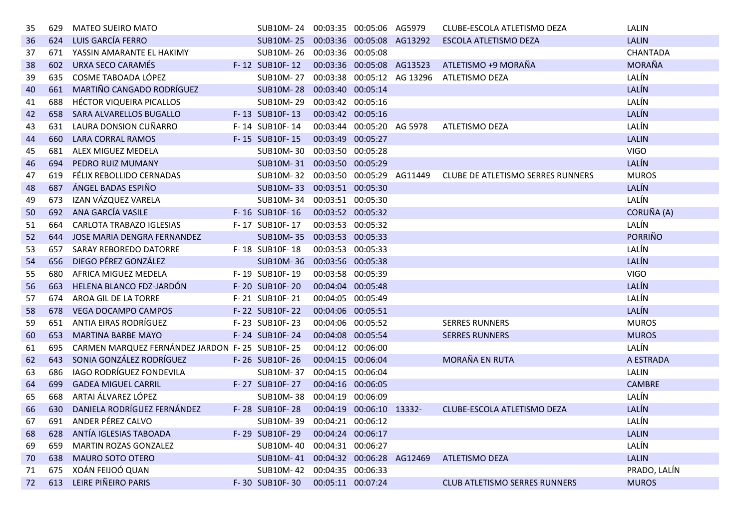| 35 | 629 | <b>MATEO SUEIRO MATO</b>                       | SUB10M-24 00:03:35 00:05:06 AG5979   |                           |                           | CLUBE-ESCOLA ATLETISMO DEZA          | LALIN           |
|----|-----|------------------------------------------------|--------------------------------------|---------------------------|---------------------------|--------------------------------------|-----------------|
| 36 | 624 | LUIS GARCÍA FERRO                              | <b>SUB10M-25</b>                     |                           | 00:03:36 00:05:08 AG13292 | ESCOLA ATLETISMO DEZA                | <b>LALIN</b>    |
| 37 | 671 | YASSIN AMARANTE EL HAKIMY                      | SUB10M-26 00:03:36 00:05:08          |                           |                           |                                      | <b>CHANTADA</b> |
| 38 | 602 | URXA SECO CARAMÉS                              | F-12 SUB10F-12                       | 00:03:36 00:05:08 AG13523 |                           | ATLETISMO +9 MORAÑA                  | <b>MORAÑA</b>   |
| 39 | 635 | COSME TABOADA LÓPEZ                            | SUB10M-27 00:03:38 00:05:12 AG 13296 |                           |                           | ATLETISMO DEZA                       | LALÍN           |
| 40 | 661 | MARTIÑO CANGADO RODRÍGUEZ                      | <b>SUB10M-28</b>                     | 00:03:40 00:05:14         |                           |                                      | LALÍN           |
| 41 | 688 | HÉCTOR VIQUEIRA PICALLOS                       | SUB10M-29 00:03:42 00:05:16          |                           |                           |                                      | LALÍN           |
| 42 | 658 | SARA ALVARELLOS BUGALLO                        | F-13 SUB10F-13                       | 00:03:42 00:05:16         |                           |                                      | LALÍN           |
| 43 | 631 | LAURA DONSION CUÑARRO                          | F-14 SUB10F-14                       |                           | 00:03:44 00:05:20 AG 5978 | <b>ATLETISMO DEZA</b>                | LALÍN           |
| 44 | 660 | <b>LARA CORRAL RAMOS</b>                       | F-15 SUB10F-15                       | 00:03:49 00:05:27         |                           |                                      | <b>LALIN</b>    |
| 45 | 681 | ALEX MIGUEZ MEDELA                             | SUB10M-30 00:03:50 00:05:28          |                           |                           |                                      | <b>VIGO</b>     |
| 46 | 694 | PEDRO RUIZ MUMANY                              | SUB10M-31 00:03:50 00:05:29          |                           |                           |                                      | LALÍN           |
| 47 | 619 | FÉLIX REBOLLIDO CERNADAS                       | SUB10M-32 00:03:50 00:05:29 AG11449  |                           |                           | CLUBE DE ATLETISMO SERRES RUNNERS    | <b>MUROS</b>    |
| 48 | 687 | ÁNGEL BADAS ESPIÑO                             | <b>SUB10M-33</b>                     | 00:03:51 00:05:30         |                           |                                      | LALÍN           |
| 49 | 673 | IZAN VÁZQUEZ VARELA                            | SUB10M-34                            | 00:03:51 00:05:30         |                           |                                      | LALÍN           |
| 50 |     | 692 ANA GARCÍA VASILE                          | F-16 SUB10F-16                       | 00:03:52 00:05:32         |                           |                                      | CORUÑA (A)      |
| 51 | 664 | <b>CARLOTA TRABAZO IGLESIAS</b>                | F-17 SUB10F-17                       | 00:03:53 00:05:32         |                           |                                      | LALÍN           |
| 52 | 644 | <b>JOSE MARIA DENGRA FERNANDEZ</b>             | <b>SUB10M-35</b>                     | 00:03:53 00:05:33         |                           |                                      | <b>PORRIÑO</b>  |
| 53 | 657 | SARAY REBOREDO DATORRE                         | F-18 SUB10F-18                       | 00:03:53 00:05:33         |                           |                                      | LALÍN           |
| 54 | 656 | DIEGO PÉREZ GONZÁLEZ                           | <b>SUB10M-36</b>                     | 00:03:56 00:05:38         |                           |                                      | LALÍN           |
| 55 | 680 | AFRICA MIGUEZ MEDELA                           | F-19 SUB10F-19                       | 00:03:58 00:05:39         |                           |                                      | <b>VIGO</b>     |
| 56 | 663 | HELENA BLANCO FDZ-JARDÓN                       | F-20 SUB10F-20                       | 00:04:04 00:05:48         |                           |                                      | LALÍN           |
| 57 | 674 | AROA GIL DE LA TORRE                           | F-21 SUB10F-21                       | 00:04:05 00:05:49         |                           |                                      | LALÍN           |
| 58 | 678 | <b>VEGA DOCAMPO CAMPOS</b>                     | F-22 SUB10F-22                       | 00:04:06 00:05:51         |                           |                                      | LALÍN           |
| 59 | 651 | ANTIA EIRAS RODRÍGUEZ                          | F-23 SUB10F-23                       | 00:04:06 00:05:52         |                           | <b>SERRES RUNNERS</b>                | <b>MUROS</b>    |
| 60 | 653 | <b>MARTINA BARBE MAYO</b>                      | F-24 SUB10F-24                       | 00:04:08 00:05:54         |                           | <b>SERRES RUNNERS</b>                | <b>MUROS</b>    |
| 61 | 695 | CARMEN MARQUEZ FERNÁNDEZ JARDON F-25 SUB10F-25 |                                      | 00:04:12 00:06:00         |                           |                                      | LALÍN           |
| 62 | 643 | SONIA GONZÁLEZ RODRÍGUEZ                       | F-26 SUB10F-26                       | 00:04:15 00:06:04         |                           | MORAÑA EN RUTA                       | A ESTRADA       |
| 63 | 686 | IAGO RODRÍGUEZ FONDEVILA                       | SUB10M-37                            | 00:04:15 00:06:04         |                           |                                      | <b>LALIN</b>    |
| 64 | 699 | <b>GADEA MIGUEL CARRIL</b>                     | F-27 SUB10F-27                       | 00:04:16 00:06:05         |                           |                                      | <b>CAMBRE</b>   |
| 65 |     | 668 ARTAI ÁLVAREZ LÓPEZ                        | SUB10M-38 00:04:19 00:06:09          |                           |                           |                                      | LALÍN           |
| 66 | 630 | DANIELA RODRÍGUEZ FERNÁNDEZ                    | F-28 SUB10F-28                       |                           | 00:04:19 00:06:10 13332-  | CLUBE-ESCOLA ATLETISMO DEZA          | LALÍN           |
| 67 |     | 691 ANDER PÉREZ CALVO                          | SUB10M-39 00:04:21 00:06:12          |                           |                           |                                      | LALÍN           |
| 68 |     | 628 ANTÍA IGLESIAS TABOADA                     | F-29 SUB10F-29                       | 00:04:24 00:06:17         |                           |                                      | <b>LALIN</b>    |
| 69 | 659 | <b>MARTIN ROZAS GONZALEZ</b>                   | SUB10M-40 00:04:31 00:06:27          |                           |                           |                                      | LALÍN           |
| 70 | 638 | <b>MAURO SOTO OTERO</b>                        | SUB10M-41 00:04:32 00:06:28 AG12469  |                           |                           | <b>ATLETISMO DEZA</b>                | <b>LALIN</b>    |
| 71 | 675 | XOÁN FEIJOÓ QUAN                               | SUB10M-42 00:04:35 00:06:33          |                           |                           |                                      | PRADO, LALÍN    |
| 72 |     | 613 LEIRE PIÑEIRO PARIS                        | F-30 SUB10F-30                       | 00:05:11 00:07:24         |                           | <b>CLUB ATLETISMO SERRES RUNNERS</b> | <b>MUROS</b>    |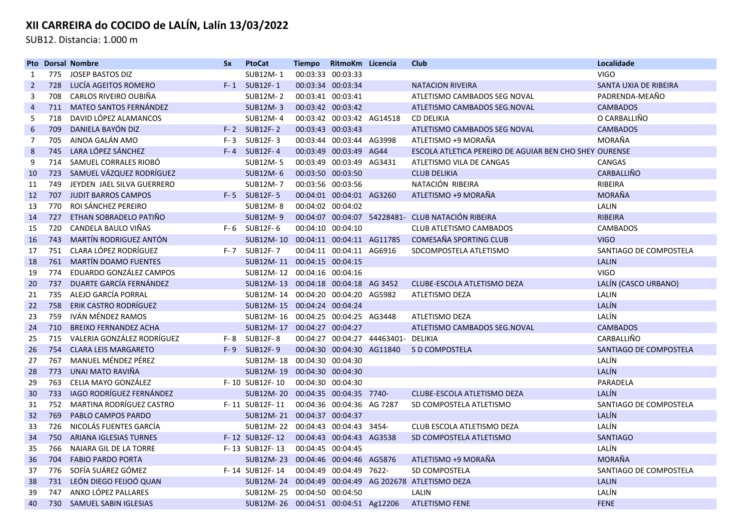SUB12. Distancia: 1.000 m

|                |     | <b>Pto Dorsal Nombre</b>        | <b>Sx</b> | <b>PtoCat</b>                       | <b>Tiempo</b>     | RitmoKm Licencia          |                             | <b>Club</b>                                            | Localidade             |
|----------------|-----|---------------------------------|-----------|-------------------------------------|-------------------|---------------------------|-----------------------------|--------------------------------------------------------|------------------------|
| 1              | 775 | JOSEP BASTOS DIZ                |           | SUB12M-1                            | 00:03:33 00:03:33 |                           |                             |                                                        | <b>VIGO</b>            |
| $\overline{2}$ | 728 | LUCÍA AGEITOS ROMERO            |           | F-1 SUB12F-1                        |                   | 00:03:34 00:03:34         |                             | <b>NATACION RIVEIRA</b>                                | SANTA UXIA DE RIBEIRA  |
| 3              | 708 | CARLOS RIVEIRO OUBIÑA           |           | SUB12M-2                            |                   | 00:03:41 00:03:41         |                             | ATLETISMO CAMBADOS SEG NOVAL                           | PADRENDA-MEAÑO         |
| $\overline{4}$ | 711 | <b>MATEO SANTOS FERNÁNDEZ</b>   |           | <b>SUB12M-3</b>                     |                   | 00:03:42 00:03:42         |                             | ATLETISMO CAMBADOS SEG.NOVAL                           | <b>CAMBADOS</b>        |
| 5              | 718 | DAVID LÓPEZ ALAMANCOS           |           | SUB12M-4                            |                   | 00:03:42 00:03:42 AG14518 |                             | <b>CD DELIKIA</b>                                      | O CARBALLIÑO           |
| 6              | 709 | DANIELA BAYÓN DIZ               |           | $F-2$ SUB12F-2                      | 00:03:43 00:03:43 |                           |                             | ATLETISMO CAMBADOS SEG NOVAL                           | <b>CAMBADOS</b>        |
| 7              | 705 | AINOA GALÁN AMO                 | $F - 3$   | SUB12F-3                            |                   | 00:03:44 00:03:44 AG3998  |                             | ATLETISMO +9 MORAÑA                                    | MORAÑA                 |
| 8              | 745 | LARA LÓPEZ SÁNCHEZ              |           | $F-4$ SUB12F-4                      |                   | 00:03:49 00:03:49 AG44    |                             | ESCOLA ATLETICA PEREIRO DE AGUIAR BEN CHO SHEY OURENSE |                        |
| 9              | 714 | SAMUEL CORRALES RIOBÓ           |           | <b>SUB12M-5</b>                     |                   | 00:03:49 00:03:49 AG3431  |                             | ATLETISMO VILA DE CANGAS                               | <b>CANGAS</b>          |
| 10             | 723 | SAMUEL VÁZQUEZ RODRÍGUEZ        |           | SUB12M-6                            |                   | 00:03:50 00:03:50         |                             | <b>CLUB DELIKIA</b>                                    | CARBALLIÑO             |
| 11             | 749 | JEYDEN JAEL SILVA GUERRERO      |           | SUB12M-7                            |                   | 00:03:56 00:03:56         |                             | NATACIÓN RIBEIRA                                       | RIBEIRA                |
| 12             | 707 | <b>JUDIT BARROS CAMPOS</b>      |           | F-5 SUB12F-5                        |                   | 00:04:01 00:04:01 AG3260  |                             | ATLETISMO +9 MORAÑA                                    | <b>MORAÑA</b>          |
| 13             | 770 | ROI SÁNCHEZ PEREIRO             |           | <b>SUB12M-8</b>                     |                   | 00:04:02 00:04:02         |                             |                                                        | LALIN                  |
| 14             | 727 | ETHAN SOBRADELO PATIÑO          |           | <b>SUB12M-9</b>                     |                   |                           |                             | 00:04:07 00:04:07 54228481- CLUB NATACIÓN RIBEIRA      | <b>RIBEIRA</b>         |
| 15             | 720 | CANDELA BAULO VIÑAS             |           | $F-6$ SUB12F-6                      |                   | 00:04:10 00:04:10         |                             | <b>CLUB ATLETISMO CAMBADOS</b>                         | <b>CAMBADOS</b>        |
| 16             | 743 | MARTÍN RODRIGUEZ ANTÓN          |           | SUB12M-10 00:04:11 00:04:11 AG11785 |                   |                           |                             | COMESAÑA SPORTING CLUB                                 | <b>VIGO</b>            |
| 17             | 751 | CLARA LÓPEZ RODRÍGUEZ           |           | F-7 SUB12F-7                        |                   | 00:04:11 00:04:11 AG6916  |                             | SDCOMPOSTELA ATLETISMO                                 | SANTIAGO DE COMPOSTELA |
| 18             | 761 | MARTÍN DOAMO FUENTES            |           | SUB12M-11 00:04:15 00:04:15         |                   |                           |                             |                                                        | <b>LALIN</b>           |
| 19             | 774 | EDUARDO GONZÁLEZ CAMPOS         |           | SUB12M-12 00:04:16 00:04:16         |                   |                           |                             |                                                        | <b>VIGO</b>            |
| 20             | 737 | DUARTE GARCÍA FERNÁNDEZ         |           | SUB12M-13 00:04:18 00:04:18 AG 3452 |                   |                           |                             | CLUBE-ESCOLA ATLETISMO DEZA                            | LALÍN (CASCO URBANO)   |
| 21             | 735 | ALEJO GARCÍA PORRAL             |           | SUB12M-14 00:04:20 00:04:20 AG5982  |                   |                           |                             | ATLETISMO DEZA                                         | LALIN                  |
| 22             | 758 | ERIK CASTRO RODRÍGUEZ           |           | SUB12M-15 00:04:24 00:04:24         |                   |                           |                             |                                                        | LALÍN                  |
| 23             | 759 | IVÁN MÉNDEZ RAMOS               |           | SUB12M-16 00:04:25 00:04:25 AG3448  |                   |                           |                             | ATLETISMO DEZA                                         | LALÍN                  |
| 24             | 710 | <b>BREIXO FERNANDEZ ACHA</b>    |           | SUB12M-17 00:04:27 00:04:27         |                   |                           |                             | ATLETISMO CAMBADOS SEG.NOVAL                           | <b>CAMBADOS</b>        |
| 25             | 715 | VALERIA GONZÁLEZ RODRÍGUEZ      | F- 8      | SUB12F-8                            |                   |                           | 00:04:27 00:04:27 44463401- | DELIKIA                                                | CARBALLIÑO             |
| 26             | 754 | <b>CLARA LEIS MARGARETO</b>     |           | F-9 SUB12F-9                        |                   | 00:04:30 00:04:30 AG11840 |                             | S D COMPOSTELA                                         | SANTIAGO DE COMPOSTELA |
| 27             | 767 | MANUEL MÉNDEZ PÉREZ             |           | SUB12M-18 00:04:30 00:04:30         |                   |                           |                             |                                                        | LALÍN                  |
| 28             | 773 | UNAI MATO RAVIÑA                |           | SUB12M-19 00:04:30 00:04:30         |                   |                           |                             |                                                        | LALÍN                  |
| 29             | 763 | CELIA MAYO GONZÁLEZ             |           | F-10 SUB12F-10                      | 00:04:30 00:04:30 |                           |                             |                                                        | PARADELA               |
| 30             | 733 | IAGO RODRÍGUEZ FERNÁNDEZ        |           | SUB12M-20 00:04:35 00:04:35 7740-   |                   |                           |                             | CLUBE-ESCOLA ATLETISMO DEZA                            | LALÍN                  |
| 31             | 752 | <b>MARTINA RODRÍGUEZ CASTRO</b> |           | F-11 SUB12F-11                      |                   | 00:04:36 00:04:36 AG 7287 |                             | SD COMPOSTELA ATLETISMO                                | SANTIAGO DE COMPOSTELA |
| 32             | 769 | PABLO CAMPOS PARDO              |           | SUB12M-21 00:04:37 00:04:37         |                   |                           |                             |                                                        | LALÍN                  |
| 33             | 726 | NICOLÁS FUENTES GARCÍA          |           | SUB12M-22 00:04:43 00:04:43 3454-   |                   |                           |                             | CLUB ESCOLA ATLETISMO DEZA                             | LALÍN                  |
| 34             | 750 | <b>ARIANA IGLESIAS TURNES</b>   |           | F-12 SUB12F-12                      |                   | 00:04:43 00:04:43 AG3538  |                             | SD COMPOSTELA ATLETISMO                                | <b>SANTIAGO</b>        |
| 35             | 766 | <b>NAIARA GIL DE LA TORRE</b>   |           | F-13 SUB12F-13                      | 00:04:45 00:04:45 |                           |                             |                                                        | LALÍN                  |
| 36             | 704 | <b>FABIO PARDO PORTA</b>        |           | SUB12M-23 00:04:46 00:04:46 AG5876  |                   |                           |                             | ATLETISMO +9 MORAÑA                                    | <b>MORAÑA</b>          |
| 37             | 776 | SOFÍA SUÁREZ GÓMEZ              |           | F-14 SUB12F-14                      |                   | 00:04:49 00:04:49 7622-   |                             | SD COMPOSTELA                                          | SANTIAGO DE COMPOSTELA |
| 38             | 731 | LEÓN DIEGO FEIJOÓ QUAN          |           |                                     |                   |                           |                             | SUB12M-24 00:04:49 00:04:49 AG 202678 ATLETISMO DEZA   | <b>LALIN</b>           |
| 39             | 747 | ANXO LÓPEZ PALLARES             |           | SUB12M-25 00:04:50 00:04:50         |                   |                           |                             | LALIN                                                  | LALÍN                  |
| 40             | 730 | SAMUEL SABIN IGLESIAS           |           | SUB12M-26 00:04:51 00:04:51 Ag12206 |                   |                           |                             | <b>ATLETISMO FENE</b>                                  | <b>FENE</b>            |